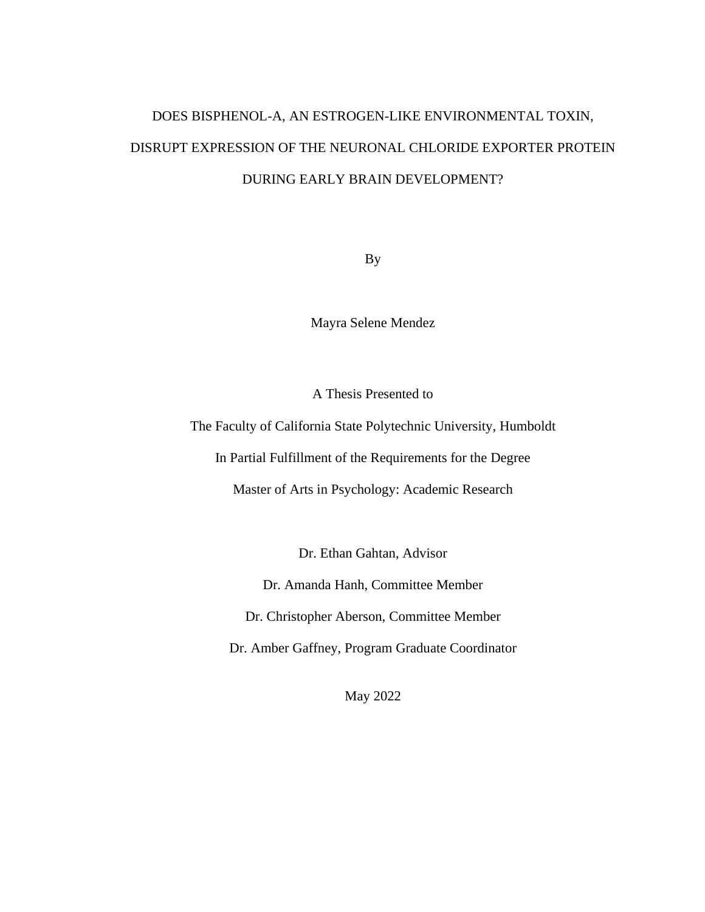# DOES BISPHENOL-A, AN ESTROGEN-LIKE ENVIRONMENTAL TOXIN, DISRUPT EXPRESSION OF THE NEURONAL CHLORIDE EXPORTER PROTEIN DURING EARLY BRAIN DEVELOPMENT?

By

Mayra Selene Mendez

A Thesis Presented to

The Faculty of California State Polytechnic University, Humboldt

In Partial Fulfillment of the Requirements for the Degree

Master of Arts in Psychology: Academic Research

Dr. Ethan Gahtan, Advisor

Dr. Amanda Hanh, Committee Member

Dr. Christopher Aberson, Committee Member

Dr. Amber Gaffney, Program Graduate Coordinator

May 2022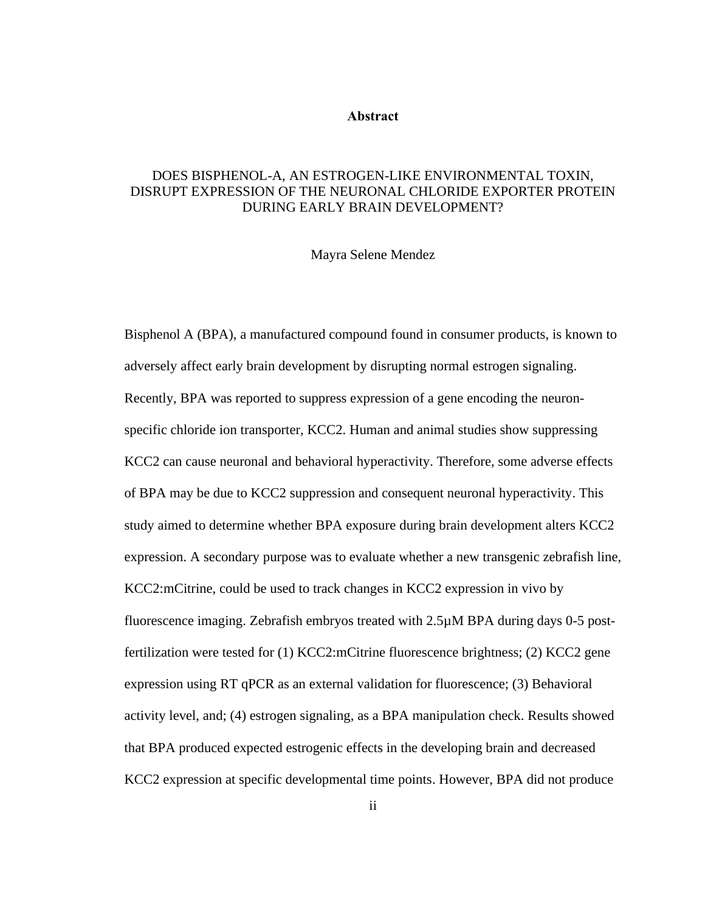#### **Abstract**

### <span id="page-1-0"></span>DOES BISPHENOL-A, AN ESTROGEN-LIKE ENVIRONMENTAL TOXIN, DISRUPT EXPRESSION OF THE NEURONAL CHLORIDE EXPORTER PROTEIN DURING EARLY BRAIN DEVELOPMENT?

#### Mayra Selene Mendez

Bisphenol A (BPA), a manufactured compound found in consumer products, is known to adversely affect early brain development by disrupting normal estrogen signaling. Recently, BPA was reported to suppress expression of a gene encoding the neuronspecific chloride ion transporter, KCC2. Human and animal studies show suppressing KCC2 can cause neuronal and behavioral hyperactivity. Therefore, some adverse effects of BPA may be due to KCC2 suppression and consequent neuronal hyperactivity. This study aimed to determine whether BPA exposure during brain development alters KCC2 expression. A secondary purpose was to evaluate whether a new transgenic zebrafish line, KCC2:mCitrine, could be used to track changes in KCC2 expression in vivo by fluorescence imaging. Zebrafish embryos treated with 2.5µM BPA during days 0-5 postfertilization were tested for (1) KCC2:mCitrine fluorescence brightness; (2) KCC2 gene expression using RT qPCR as an external validation for fluorescence; (3) Behavioral activity level, and; (4) estrogen signaling, as a BPA manipulation check. Results showed that BPA produced expected estrogenic effects in the developing brain and decreased KCC2 expression at specific developmental time points. However, BPA did not produce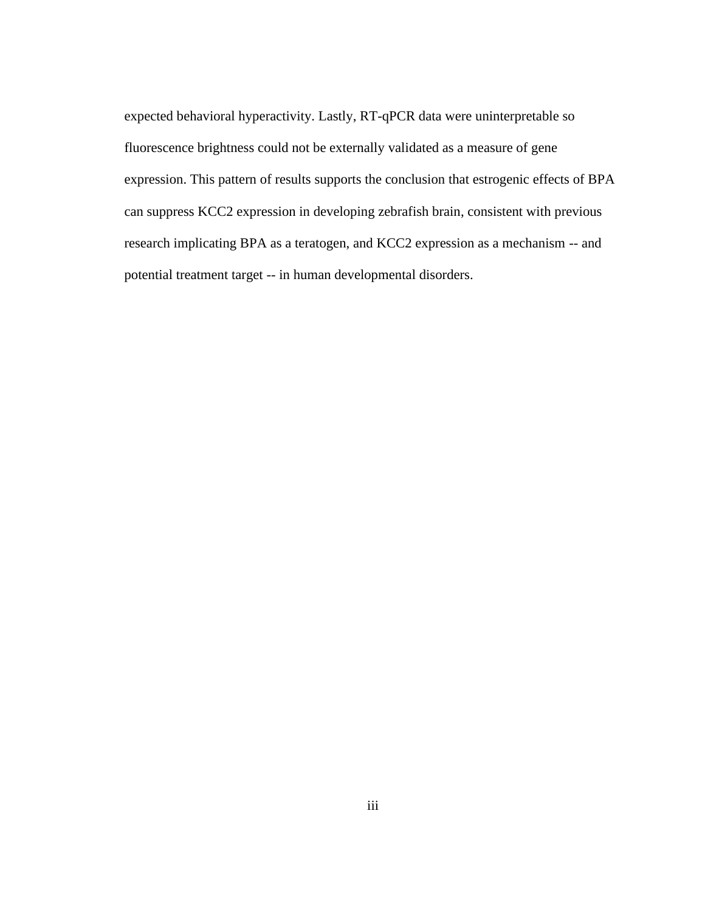expected behavioral hyperactivity. Lastly, RT-qPCR data were uninterpretable so fluorescence brightness could not be externally validated as a measure of gene expression. This pattern of results supports the conclusion that estrogenic effects of BPA can suppress KCC2 expression in developing zebrafish brain, consistent with previous research implicating BPA as a teratogen, and KCC2 expression as a mechanism -- and potential treatment target -- in human developmental disorders.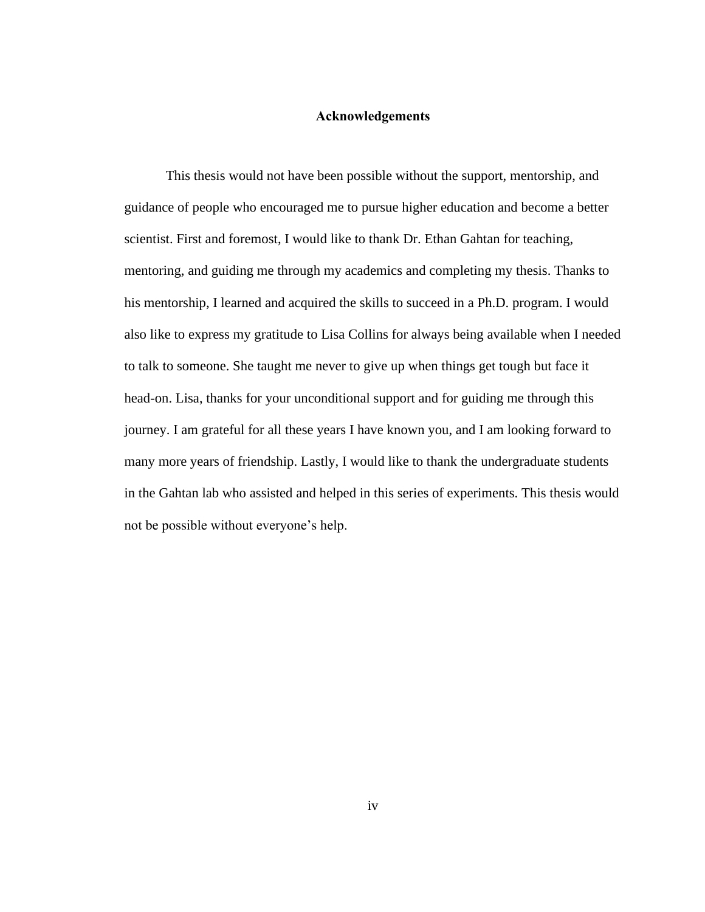#### **Acknowledgements**

<span id="page-3-0"></span>This thesis would not have been possible without the support, mentorship, and guidance of people who encouraged me to pursue higher education and become a better scientist. First and foremost, I would like to thank Dr. Ethan Gahtan for teaching, mentoring, and guiding me through my academics and completing my thesis. Thanks to his mentorship, I learned and acquired the skills to succeed in a Ph.D. program. I would also like to express my gratitude to Lisa Collins for always being available when I needed to talk to someone. She taught me never to give up when things get tough but face it head-on. Lisa, thanks for your unconditional support and for guiding me through this journey. I am grateful for all these years I have known you, and I am looking forward to many more years of friendship. Lastly, I would like to thank the undergraduate students in the Gahtan lab who assisted and helped in this series of experiments. This thesis would not be possible without everyone's help.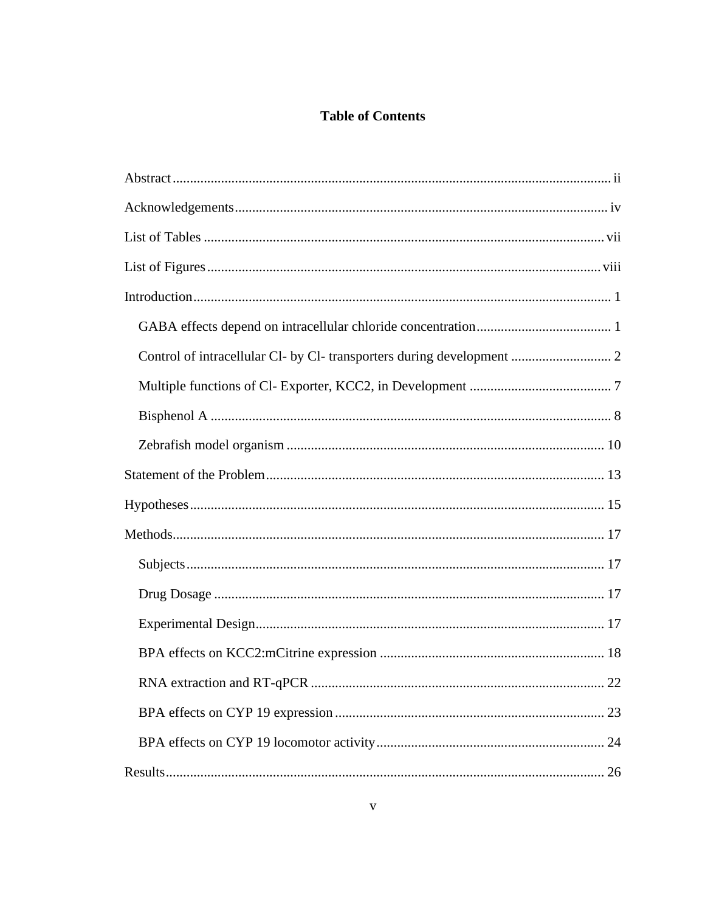## **Table of Contents**

| Control of intracellular Cl- by Cl- transporters during development  2 |
|------------------------------------------------------------------------|
|                                                                        |
|                                                                        |
|                                                                        |
|                                                                        |
|                                                                        |
|                                                                        |
|                                                                        |
|                                                                        |
|                                                                        |
|                                                                        |
| 22                                                                     |
|                                                                        |
|                                                                        |
|                                                                        |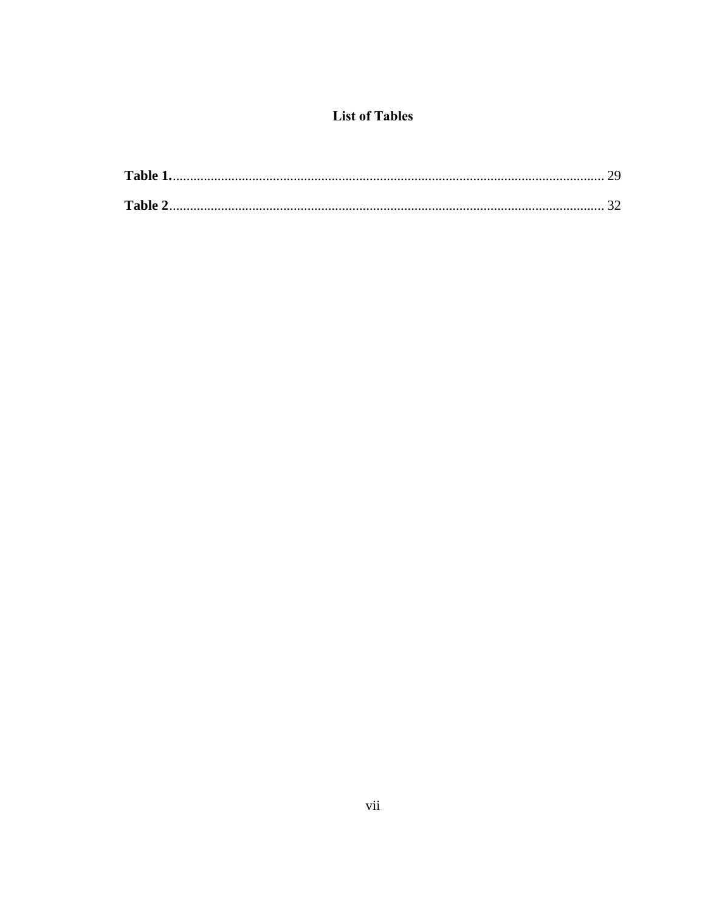## **List of Tables**

<span id="page-6-0"></span>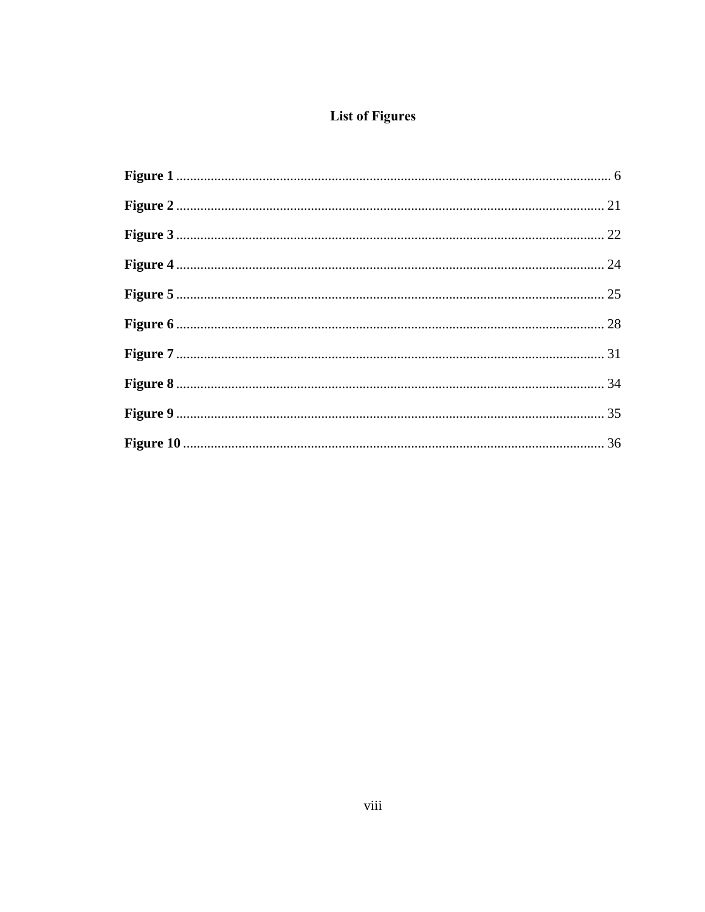## **List of Figures**

<span id="page-7-0"></span>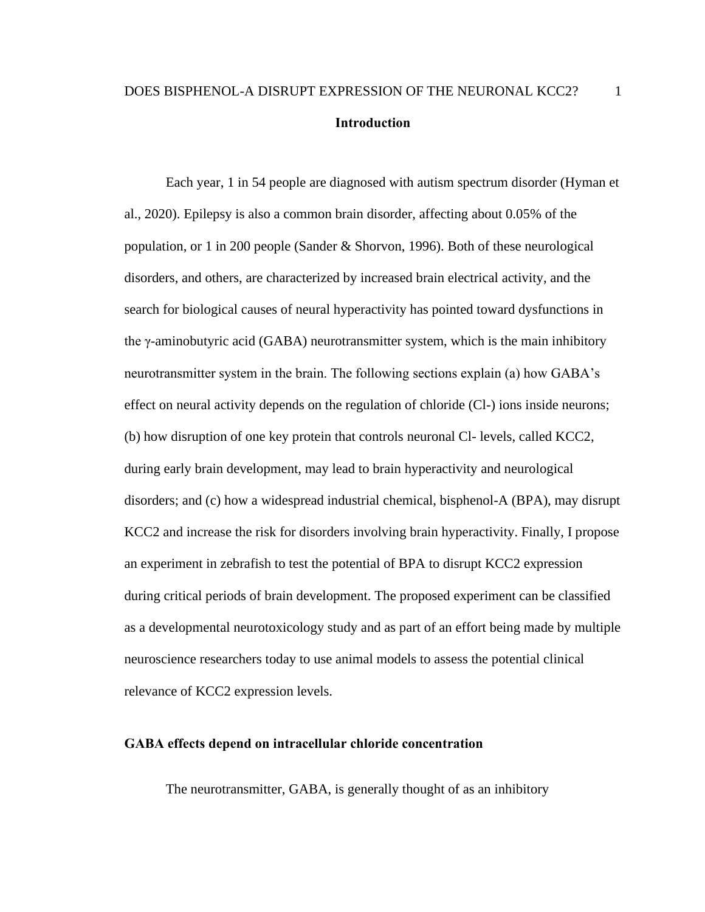## <span id="page-8-0"></span>DOES BISPHENOL-A DISRUPT EXPRESSION OF THE NEURONAL KCC2? 1 **Introduction**

Each year, 1 in 54 people are diagnosed with autism spectrum disorder (Hyman et al., 2020). Epilepsy is also a common brain disorder, affecting about 0.05% of the population, or 1 in 200 people (Sander & Shorvon, 1996). Both of these neurological disorders, and others, are characterized by increased brain electrical activity, and the search for biological causes of neural hyperactivity has pointed toward dysfunctions in the γ-aminobutyric acid (GABA) neurotransmitter system, which is the main inhibitory neurotransmitter system in the brain. The following sections explain (a) how GABA's effect on neural activity depends on the regulation of chloride (Cl-) ions inside neurons; (b) how disruption of one key protein that controls neuronal Cl- levels, called KCC2, during early brain development, may lead to brain hyperactivity and neurological disorders; and (c) how a widespread industrial chemical, bisphenol-A (BPA), may disrupt KCC2 and increase the risk for disorders involving brain hyperactivity. Finally, I propose an experiment in zebrafish to test the potential of BPA to disrupt KCC2 expression during critical periods of brain development. The proposed experiment can be classified as a developmental neurotoxicology study and as part of an effort being made by multiple neuroscience researchers today to use animal models to assess the potential clinical relevance of KCC2 expression levels.

#### <span id="page-8-1"></span>**GABA effects depend on intracellular chloride concentration**

The neurotransmitter, GABA, is generally thought of as an inhibitory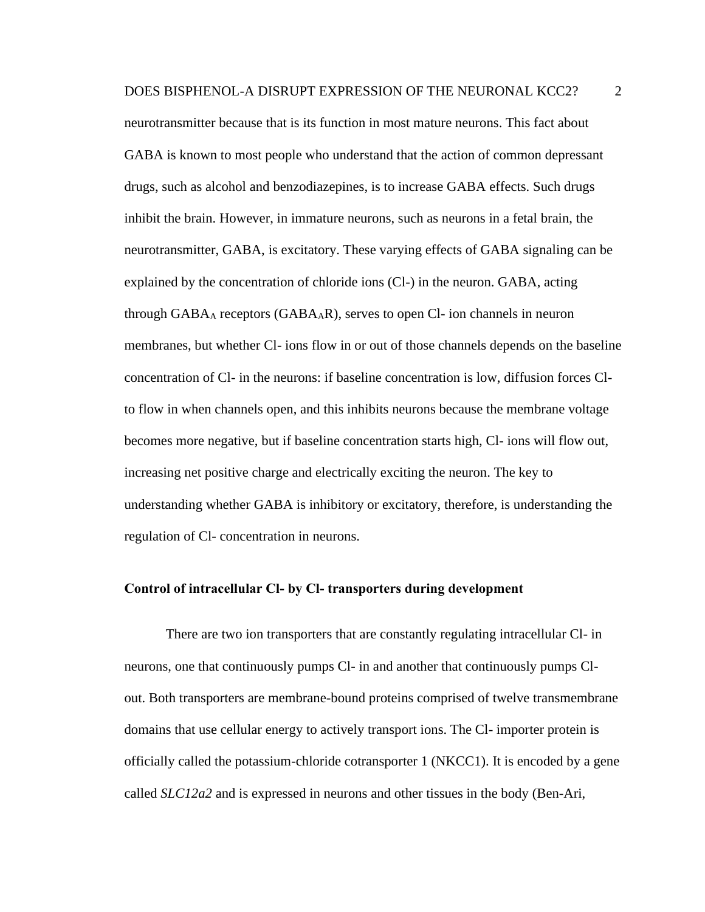neurotransmitter because that is its function in most mature neurons. This fact about GABA is known to most people who understand that the action of common depressant drugs, such as alcohol and benzodiazepines, is to increase GABA effects. Such drugs inhibit the brain. However, in immature neurons, such as neurons in a fetal brain, the neurotransmitter, GABA, is excitatory. These varying effects of GABA signaling can be explained by the concentration of chloride ions (Cl-) in the neuron. GABA, acting through  $GABA_A$  receptors  $(GABA_AR)$ , serves to open Cl- ion channels in neuron membranes, but whether Cl- ions flow in or out of those channels depends on the baseline concentration of Cl- in the neurons: if baseline concentration is low, diffusion forces Clto flow in when channels open, and this inhibits neurons because the membrane voltage becomes more negative, but if baseline concentration starts high, Cl- ions will flow out, increasing net positive charge and electrically exciting the neuron. The key to understanding whether GABA is inhibitory or excitatory, therefore, is understanding the regulation of Cl- concentration in neurons.

#### <span id="page-9-0"></span>**Control of intracellular Cl- by Cl- transporters during development**

There are two ion transporters that are constantly regulating intracellular Cl- in neurons, one that continuously pumps Cl- in and another that continuously pumps Clout. Both transporters are membrane-bound proteins comprised of twelve transmembrane domains that use cellular energy to actively transport ions. The Cl- importer protein is officially called the potassium-chloride cotransporter 1 (NKCC1). It is encoded by a gene called *SLC12a2* and is expressed in neurons and other tissues in the body (Ben-Ari,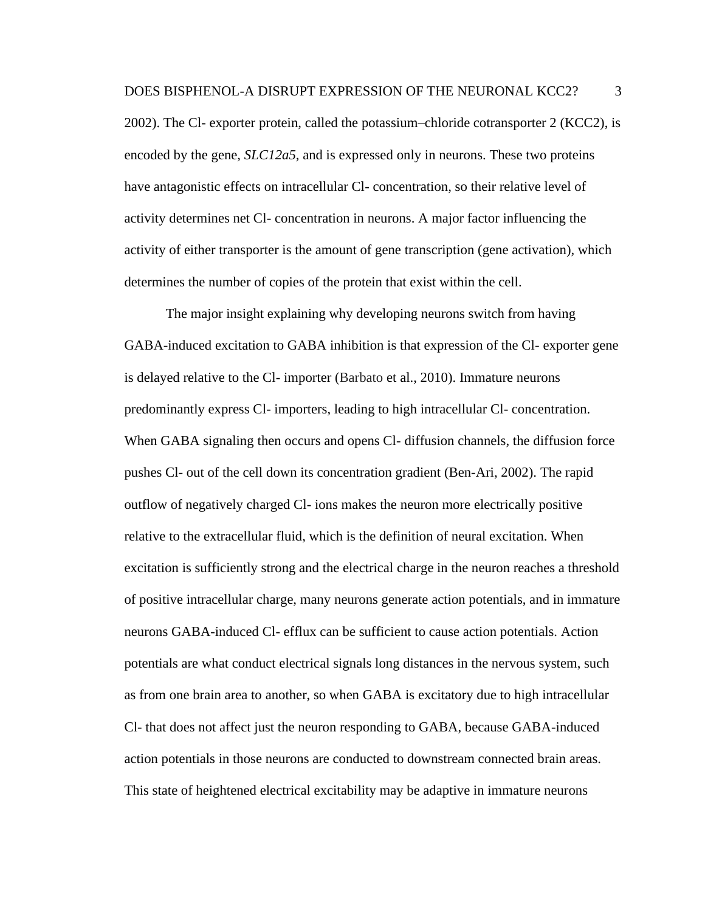2002). The Cl- exporter protein, called the potassium–chloride cotransporter 2 (KCC2), is encoded by the gene, *SLC12a5*, and is expressed only in neurons. These two proteins have antagonistic effects on intracellular Cl- concentration, so their relative level of activity determines net Cl- concentration in neurons. A major factor influencing the activity of either transporter is the amount of gene transcription (gene activation), which determines the number of copies of the protein that exist within the cell.

The major insight explaining why developing neurons switch from having GABA-induced excitation to GABA inhibition is that expression of the Cl- exporter gene is delayed relative to the Cl- importer (Barbato et al., 2010). Immature neurons predominantly express Cl- importers, leading to high intracellular Cl- concentration. When GABA signaling then occurs and opens Cl- diffusion channels, the diffusion force pushes Cl- out of the cell down its concentration gradient (Ben-Ari, 2002). The rapid outflow of negatively charged Cl- ions makes the neuron more electrically positive relative to the extracellular fluid, which is the definition of neural excitation. When excitation is sufficiently strong and the electrical charge in the neuron reaches a threshold of positive intracellular charge, many neurons generate action potentials, and in immature neurons GABA-induced Cl- efflux can be sufficient to cause action potentials. Action potentials are what conduct electrical signals long distances in the nervous system, such as from one brain area to another, so when GABA is excitatory due to high intracellular Cl- that does not affect just the neuron responding to GABA, because GABA-induced action potentials in those neurons are conducted to downstream connected brain areas. This state of heightened electrical excitability may be adaptive in immature neurons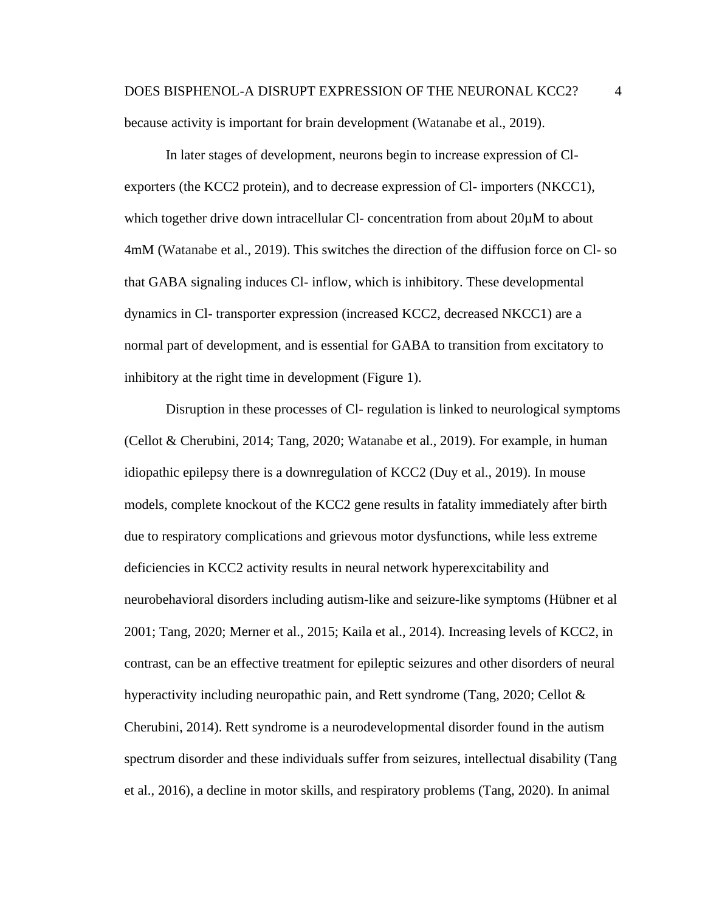## DOES BISPHENOL-A DISRUPT EXPRESSION OF THE NEURONAL KCC2? 4 because activity is important for brain development (Watanabe et al., 2019).

In later stages of development, neurons begin to increase expression of Clexporters (the KCC2 protein), and to decrease expression of Cl- importers (NKCC1), which together drive down intracellular Cl- concentration from about 20 $\mu$ M to about 4mM (Watanabe et al., 2019). This switches the direction of the diffusion force on Cl- so that GABA signaling induces Cl- inflow, which is inhibitory. These developmental dynamics in Cl- transporter expression (increased KCC2, decreased NKCC1) are a normal part of development, and is essential for GABA to transition from excitatory to inhibitory at the right time in development (Figure 1).

Disruption in these processes of Cl- regulation is linked to neurological symptoms (Cellot & Cherubini, 2014; Tang, 2020; Watanabe et al., 2019). For example, in human idiopathic epilepsy there is a downregulation of KCC2 (Duy et al., 2019). In mouse models, complete knockout of the KCC2 gene results in fatality immediately after birth due to respiratory complications and grievous motor dysfunctions, while less extreme deficiencies in KCC2 activity results in neural network hyperexcitability and neurobehavioral disorders including autism-like and seizure-like symptoms (Hübner et al 2001; Tang, 2020; Merner et al., 2015; Kaila et al., 2014). Increasing levels of KCC2, in contrast, can be an effective treatment for epileptic seizures and other disorders of neural hyperactivity including neuropathic pain, and Rett syndrome (Tang, 2020; Cellot & Cherubini, 2014). Rett syndrome is a neurodevelopmental disorder found in the autism spectrum disorder and these individuals suffer from seizures, intellectual disability (Tang et al., 2016), a decline in motor skills, and respiratory problems (Tang, 2020). In animal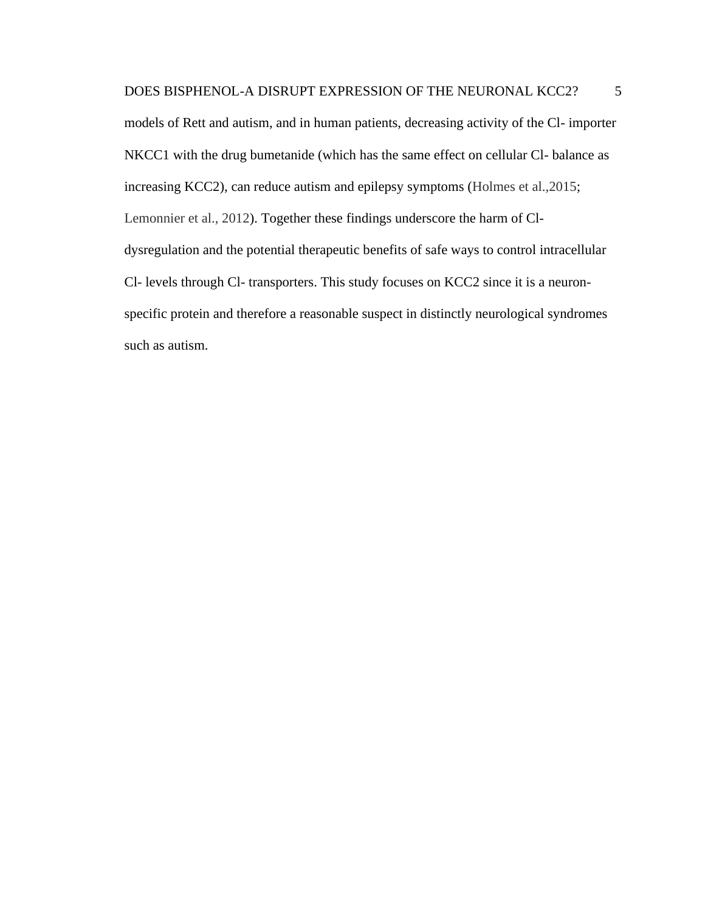models of Rett and autism, and in human patients, decreasing activity of the Cl- importer NKCC1 with the drug bumetanide (which has the same effect on cellular Cl- balance as increasing KCC2), can reduce autism and epilepsy symptoms (Holmes et al.,2015; Lemonnier et al., 2012). Together these findings underscore the harm of Cldysregulation and the potential therapeutic benefits of safe ways to control intracellular Cl- levels through Cl- transporters. This study focuses on KCC2 since it is a neuronspecific protein and therefore a reasonable suspect in distinctly neurological syndromes such as autism.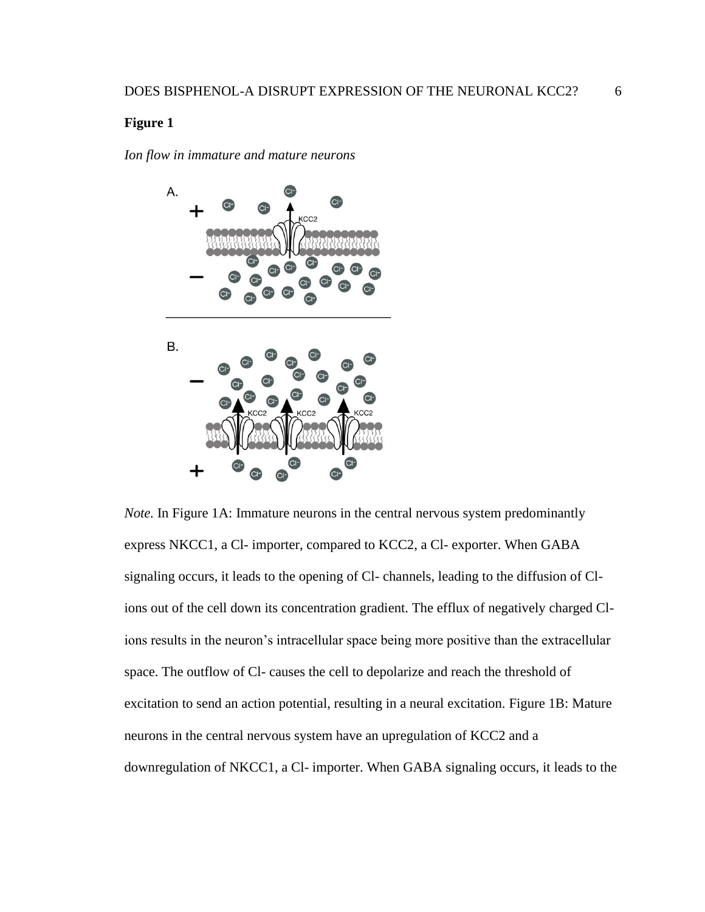<span id="page-13-0"></span>*Ion flow in immature and mature neurons*



*Note.* In Figure 1A: Immature neurons in the central nervous system predominantly express NKCC1, a Cl- importer, compared to KCC2, a Cl- exporter. When GABA signaling occurs, it leads to the opening of Cl- channels, leading to the diffusion of Clions out of the cell down its concentration gradient. The efflux of negatively charged Clions results in the neuron's intracellular space being more positive than the extracellular space. The outflow of Cl- causes the cell to depolarize and reach the threshold of excitation to send an action potential, resulting in a neural excitation. Figure 1B: Mature neurons in the central nervous system have an upregulation of KCC2 and a downregulation of NKCC1, a Cl- importer. When GABA signaling occurs, it leads to the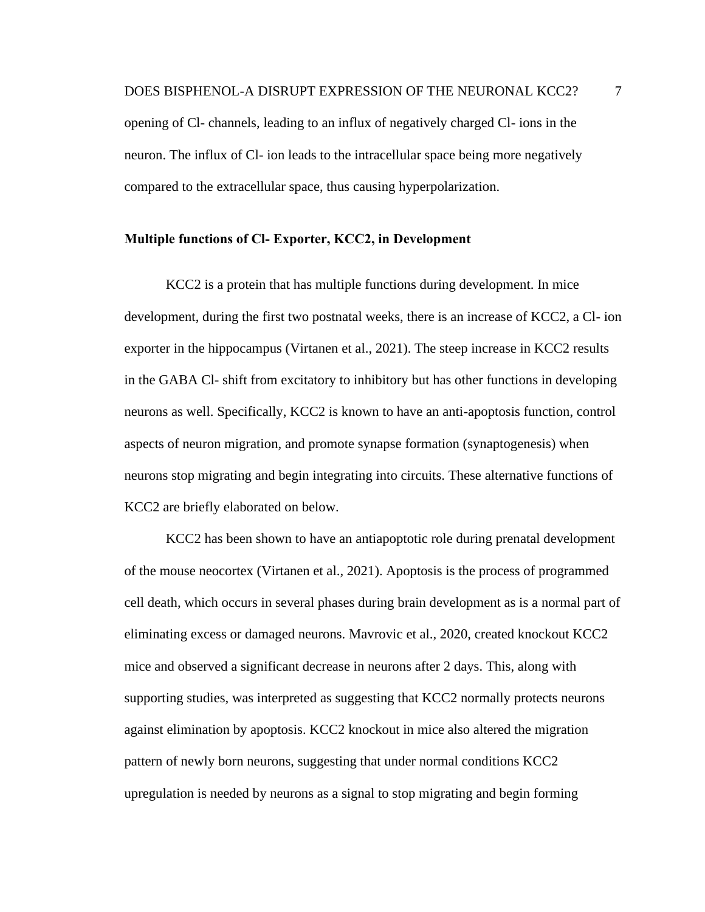opening of Cl- channels, leading to an influx of negatively charged Cl- ions in the neuron. The influx of Cl- ion leads to the intracellular space being more negatively compared to the extracellular space, thus causing hyperpolarization.

#### <span id="page-14-0"></span>**Multiple functions of Cl- Exporter, KCC2, in Development**

KCC2 is a protein that has multiple functions during development. In mice development, during the first two postnatal weeks, there is an increase of KCC2, a Cl- ion exporter in the hippocampus (Virtanen et al., 2021). The steep increase in KCC2 results in the GABA Cl- shift from excitatory to inhibitory but has other functions in developing neurons as well. Specifically, KCC2 is known to have an anti-apoptosis function, control aspects of neuron migration, and promote synapse formation (synaptogenesis) when neurons stop migrating and begin integrating into circuits. These alternative functions of KCC2 are briefly elaborated on below.

KCC2 has been shown to have an antiapoptotic role during prenatal development of the mouse neocortex (Virtanen et al., 2021). Apoptosis is the process of programmed cell death, which occurs in several phases during brain development as is a normal part of eliminating excess or damaged neurons. Mavrovic et al., 2020, created knockout KCC2 mice and observed a significant decrease in neurons after 2 days. This, along with supporting studies, was interpreted as suggesting that KCC2 normally protects neurons against elimination by apoptosis. KCC2 knockout in mice also altered the migration pattern of newly born neurons, suggesting that under normal conditions KCC2 upregulation is needed by neurons as a signal to stop migrating and begin forming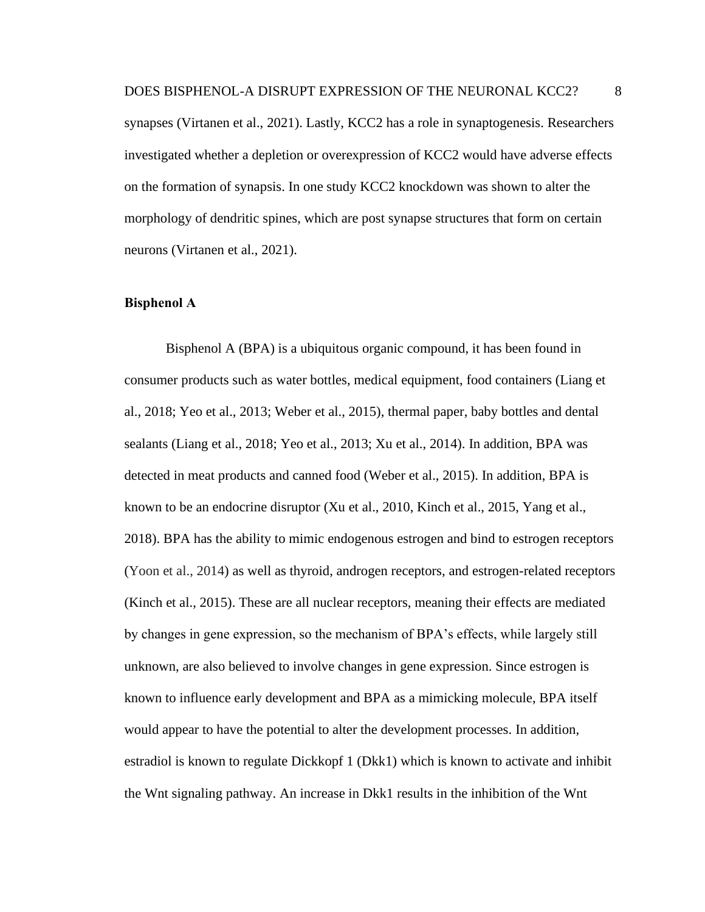synapses (Virtanen et al., 2021). Lastly, KCC2 has a role in synaptogenesis. Researchers investigated whether a depletion or overexpression of KCC2 would have adverse effects on the formation of synapsis. In one study KCC2 knockdown was shown to alter the morphology of dendritic spines, which are post synapse structures that form on certain neurons (Virtanen et al., 2021).

#### <span id="page-15-0"></span>**Bisphenol A**

Bisphenol A (BPA) is a ubiquitous organic compound, it has been found in consumer products such as water bottles, medical equipment, food containers (Liang et al., 2018; Yeo et al., 2013; Weber et al., 2015), thermal paper, baby bottles and dental sealants (Liang et al., 2018; Yeo et al., 2013; Xu et al., 2014). In addition, BPA was detected in meat products and canned food (Weber et al., 2015). In addition, BPA is known to be an endocrine disruptor (Xu et al., 2010, Kinch et al., 2015, Yang et al., 2018). BPA has the ability to mimic endogenous estrogen and bind to estrogen receptors (Yoon et al., 2014) as well as thyroid, androgen receptors, and estrogen-related receptors (Kinch et al., 2015). These are all nuclear receptors, meaning their effects are mediated by changes in gene expression, so the mechanism of BPA's effects, while largely still unknown, are also believed to involve changes in gene expression. Since estrogen is known to influence early development and BPA as a mimicking molecule, BPA itself would appear to have the potential to alter the development processes. In addition, estradiol is known to regulate Dickkopf 1 (Dkk1) which is known to activate and inhibit the Wnt signaling pathway. An increase in Dkk1 results in the inhibition of the Wnt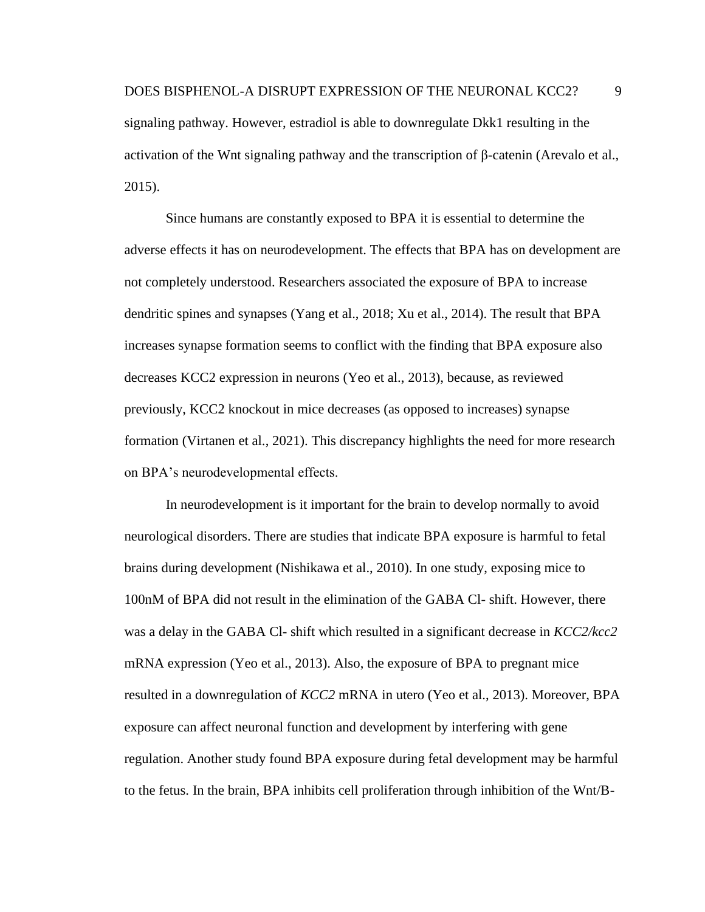signaling pathway. However, estradiol is able to downregulate Dkk1 resulting in the activation of the Wnt signaling pathway and the transcription of β-catenin (Arevalo et al., 2015).

Since humans are constantly exposed to BPA it is essential to determine the adverse effects it has on neurodevelopment. The effects that BPA has on development are not completely understood. Researchers associated the exposure of BPA to increase dendritic spines and synapses (Yang et al., 2018; Xu et al., 2014). The result that BPA increases synapse formation seems to conflict with the finding that BPA exposure also decreases KCC2 expression in neurons (Yeo et al., 2013), because, as reviewed previously, KCC2 knockout in mice decreases (as opposed to increases) synapse formation (Virtanen et al., 2021). This discrepancy highlights the need for more research on BPA's neurodevelopmental effects.

In neurodevelopment is it important for the brain to develop normally to avoid neurological disorders. There are studies that indicate BPA exposure is harmful to fetal brains during development (Nishikawa et al., 2010). In one study, exposing mice to 100nM of BPA did not result in the elimination of the GABA Cl- shift. However, there was a delay in the GABA Cl- shift which resulted in a significant decrease in *KCC2/kcc2* mRNA expression (Yeo et al., 2013). Also, the exposure of BPA to pregnant mice resulted in a downregulation of *KCC2* mRNA in utero (Yeo et al., 2013). Moreover, BPA exposure can affect neuronal function and development by interfering with gene regulation. Another study found BPA exposure during fetal development may be harmful to the fetus. In the brain, BPA inhibits cell proliferation through inhibition of the Wnt/B-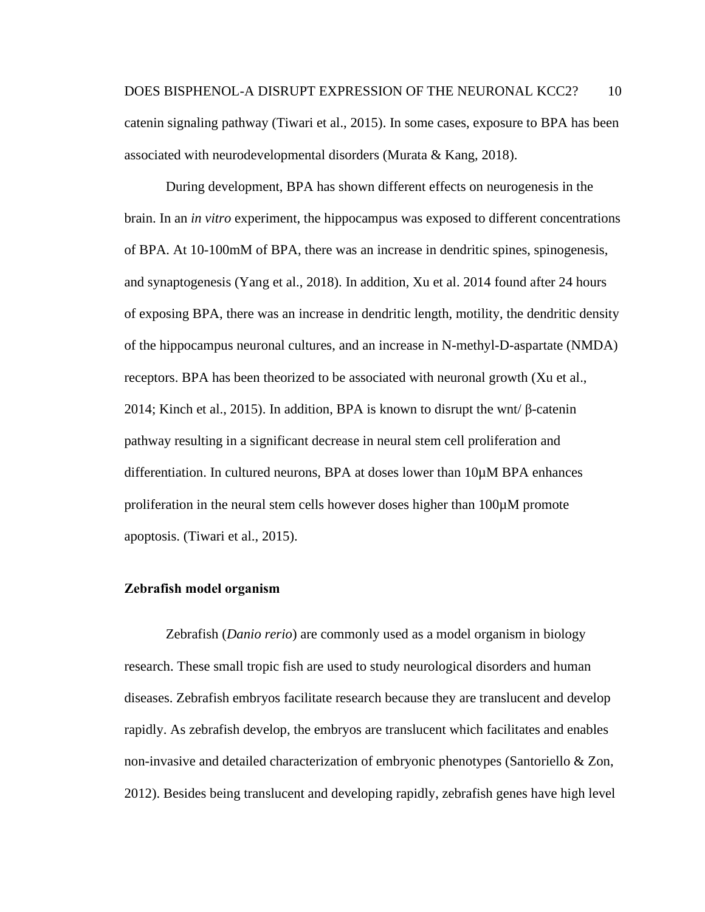During development, BPA has shown different effects on neurogenesis in the brain. In an *in vitro* experiment, the hippocampus was exposed to different concentrations of BPA. At 10-100mM of BPA, there was an increase in dendritic spines, spinogenesis, and synaptogenesis (Yang et al., 2018). In addition, Xu et al. 2014 found after 24 hours of exposing BPA, there was an increase in dendritic length, motility, the dendritic density of the hippocampus neuronal cultures, and an increase in N-methyl-D-aspartate (NMDA) receptors. BPA has been theorized to be associated with neuronal growth (Xu et al., 2014; Kinch et al., 2015). In addition, BPA is known to disrupt the wnt/ $\beta$ -catenin pathway resulting in a significant decrease in neural stem cell proliferation and differentiation. In cultured neurons, BPA at doses lower than 10µM BPA enhances proliferation in the neural stem cells however doses higher than 100µM promote apoptosis. (Tiwari et al., 2015).

#### <span id="page-17-0"></span>**Zebrafish model organism**

Zebrafish (*Danio rerio*) are commonly used as a model organism in biology research. These small tropic fish are used to study neurological disorders and human diseases. Zebrafish embryos facilitate research because they are translucent and develop rapidly. As zebrafish develop, the embryos are translucent which facilitates and enables non-invasive and detailed characterization of embryonic phenotypes (Santoriello & Zon, 2012). Besides being translucent and developing rapidly, zebrafish genes have high level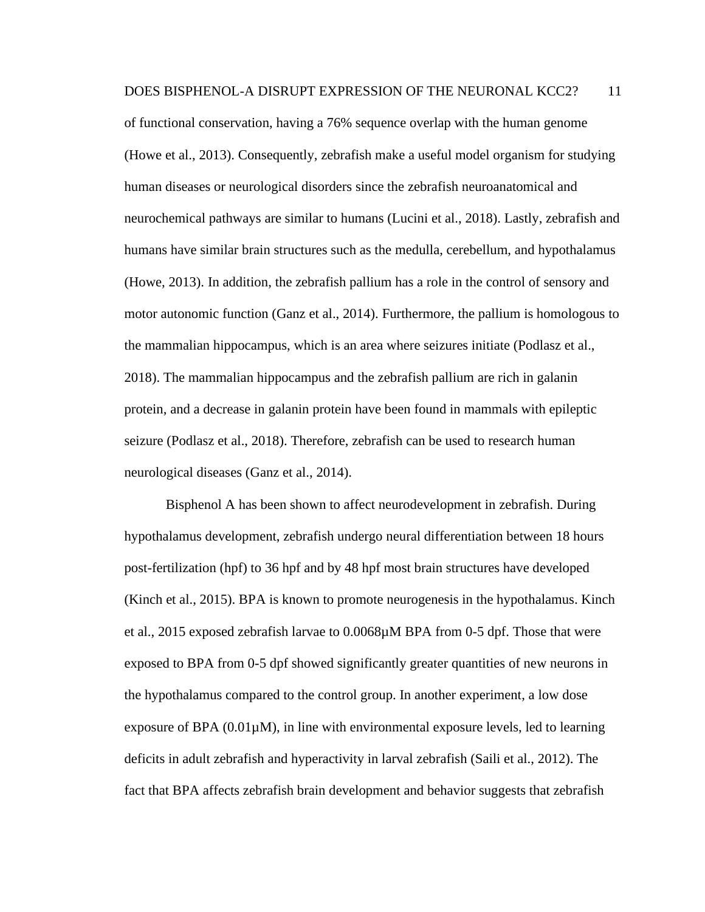of functional conservation, having a 76% sequence overlap with the human genome (Howe et al., 2013). Consequently, zebrafish make a useful model organism for studying human diseases or neurological disorders since the zebrafish neuroanatomical and neurochemical pathways are similar to humans (Lucini et al., 2018). Lastly, zebrafish and humans have similar brain structures such as the medulla, cerebellum, and hypothalamus (Howe, 2013). In addition, the zebrafish pallium has a role in the control of sensory and motor autonomic function (Ganz et al., 2014). Furthermore, the pallium is homologous to the mammalian hippocampus, which is an area where seizures initiate (Podlasz et al., 2018). The mammalian hippocampus and the zebrafish pallium are rich in galanin protein, and a decrease in galanin protein have been found in mammals with epileptic seizure (Podlasz et al., 2018). Therefore, zebrafish can be used to research human neurological diseases (Ganz et al., 2014).

Bisphenol A has been shown to affect neurodevelopment in zebrafish. During hypothalamus development, zebrafish undergo neural differentiation between 18 hours post-fertilization (hpf) to 36 hpf and by 48 hpf most brain structures have developed (Kinch et al., 2015). BPA is known to promote neurogenesis in the hypothalamus. Kinch et al., 2015 exposed zebrafish larvae to 0.0068µM BPA from 0-5 dpf. Those that were exposed to BPA from 0-5 dpf showed significantly greater quantities of new neurons in the hypothalamus compared to the control group. In another experiment, a low dose exposure of BPA (0.01µM), in line with environmental exposure levels, led to learning deficits in adult zebrafish and hyperactivity in larval zebrafish (Saili et al., 2012). The fact that BPA affects zebrafish brain development and behavior suggests that zebrafish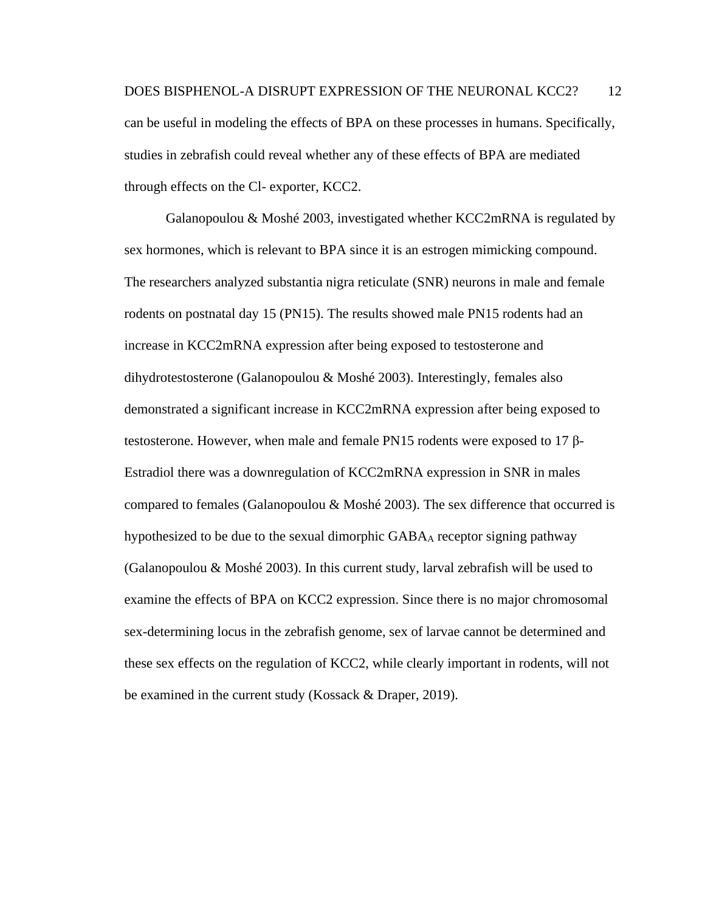# DOES BISPHENOL-A DISRUPT EXPRESSION OF THE NEURONAL KCC2? 12 can be useful in modeling the effects of BPA on these processes in humans. Specifically, studies in zebrafish could reveal whether any of these effects of BPA are mediated through effects on the Cl- exporter, KCC2.

Galanopoulou & Moshé 2003, investigated whether KCC2mRNA is regulated by sex hormones, which is relevant to BPA since it is an estrogen mimicking compound. The researchers analyzed substantia nigra reticulate (SNR) neurons in male and female rodents on postnatal day 15 (PN15). The results showed male PN15 rodents had an increase in KCC2mRNA expression after being exposed to testosterone and dihydrotestosterone (Galanopoulou & Moshé 2003). Interestingly, females also demonstrated a significant increase in KCC2mRNA expression after being exposed to testosterone. However, when male and female PN15 rodents were exposed to 17 β-Estradiol there was a downregulation of KCC2mRNA expression in SNR in males compared to females (Galanopoulou & Moshé 2003). The sex difference that occurred is hypothesized to be due to the sexual dimorphic GABA<sub>A</sub> receptor signing pathway (Galanopoulou & Moshé 2003). In this current study, larval zebrafish will be used to examine the effects of BPA on KCC2 expression. Since there is no major chromosomal sex-determining locus in the zebrafish genome, sex of larvae cannot be determined and these sex effects on the regulation of KCC2, while clearly important in rodents, will not be examined in the current study (Kossack & Draper, 2019).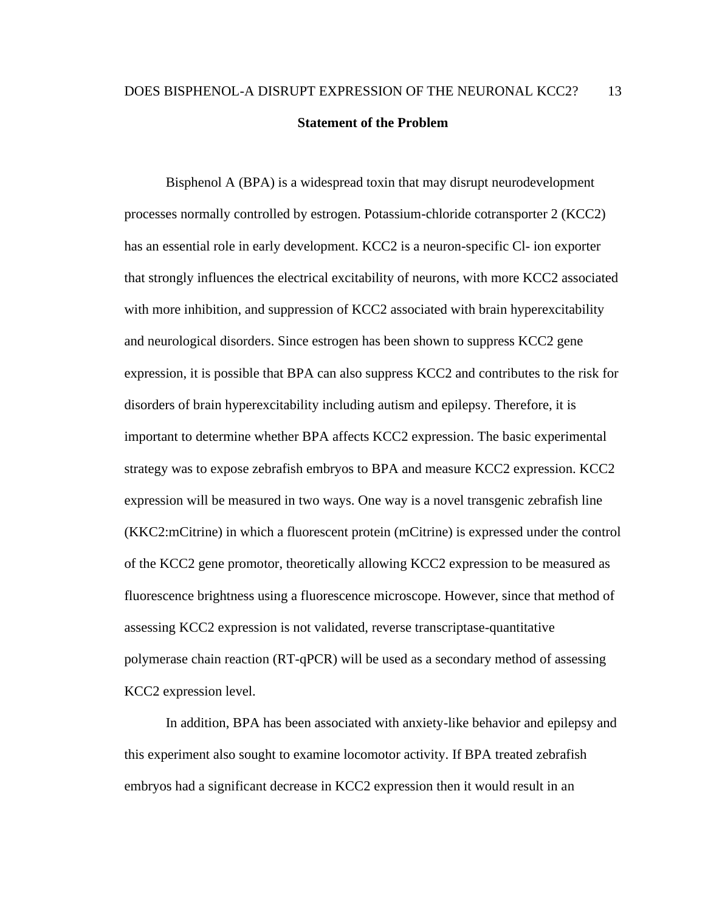## <span id="page-20-0"></span>DOES BISPHENOL-A DISRUPT EXPRESSION OF THE NEURONAL KCC2? 13 **Statement of the Problem**

Bisphenol A (BPA) is a widespread toxin that may disrupt neurodevelopment processes normally controlled by estrogen. Potassium-chloride cotransporter 2 (KCC2) has an essential role in early development. KCC2 is a neuron-specific Cl- ion exporter that strongly influences the electrical excitability of neurons, with more KCC2 associated with more inhibition, and suppression of KCC2 associated with brain hyperexcitability and neurological disorders. Since estrogen has been shown to suppress KCC2 gene expression, it is possible that BPA can also suppress KCC2 and contributes to the risk for disorders of brain hyperexcitability including autism and epilepsy. Therefore, it is important to determine whether BPA affects KCC2 expression. The basic experimental strategy was to expose zebrafish embryos to BPA and measure KCC2 expression. KCC2 expression will be measured in two ways. One way is a novel transgenic zebrafish line (KKC2:mCitrine) in which a fluorescent protein (mCitrine) is expressed under the control of the KCC2 gene promotor, theoretically allowing KCC2 expression to be measured as fluorescence brightness using a fluorescence microscope. However, since that method of assessing KCC2 expression is not validated, reverse transcriptase-quantitative polymerase chain reaction (RT-qPCR) will be used as a secondary method of assessing KCC2 expression level.

In addition, BPA has been associated with anxiety-like behavior and epilepsy and this experiment also sought to examine locomotor activity. If BPA treated zebrafish embryos had a significant decrease in KCC2 expression then it would result in an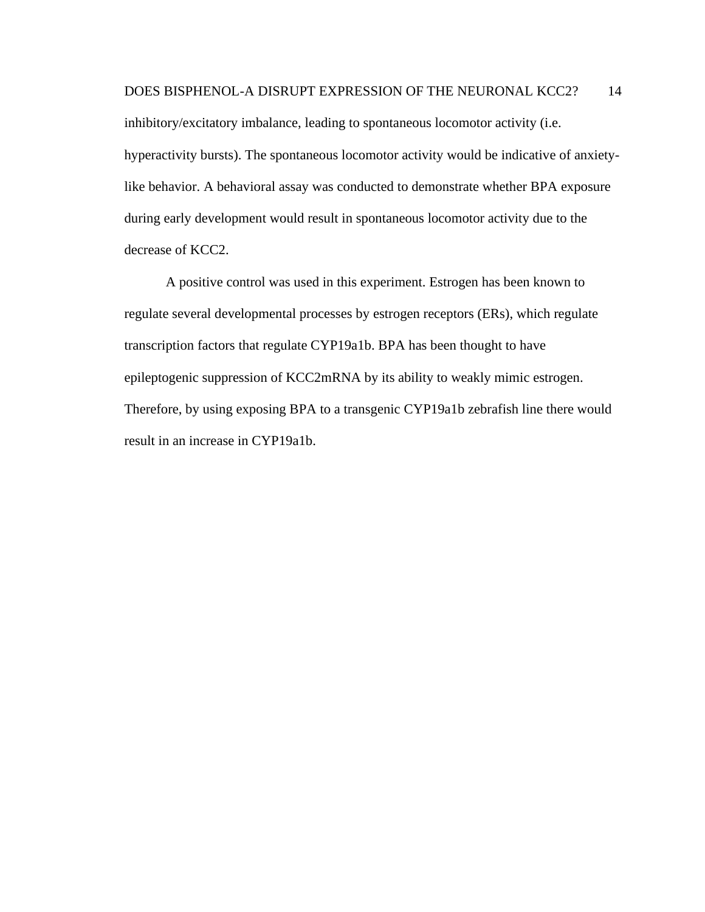inhibitory/excitatory imbalance, leading to spontaneous locomotor activity (i.e. hyperactivity bursts). The spontaneous locomotor activity would be indicative of anxietylike behavior. A behavioral assay was conducted to demonstrate whether BPA exposure during early development would result in spontaneous locomotor activity due to the decrease of KCC2.

A positive control was used in this experiment. Estrogen has been known to regulate several developmental processes by estrogen receptors (ERs), which regulate transcription factors that regulate CYP19a1b. BPA has been thought to have epileptogenic suppression of KCC2mRNA by its ability to weakly mimic estrogen. Therefore, by using exposing BPA to a transgenic CYP19a1b zebrafish line there would result in an increase in CYP19a1b.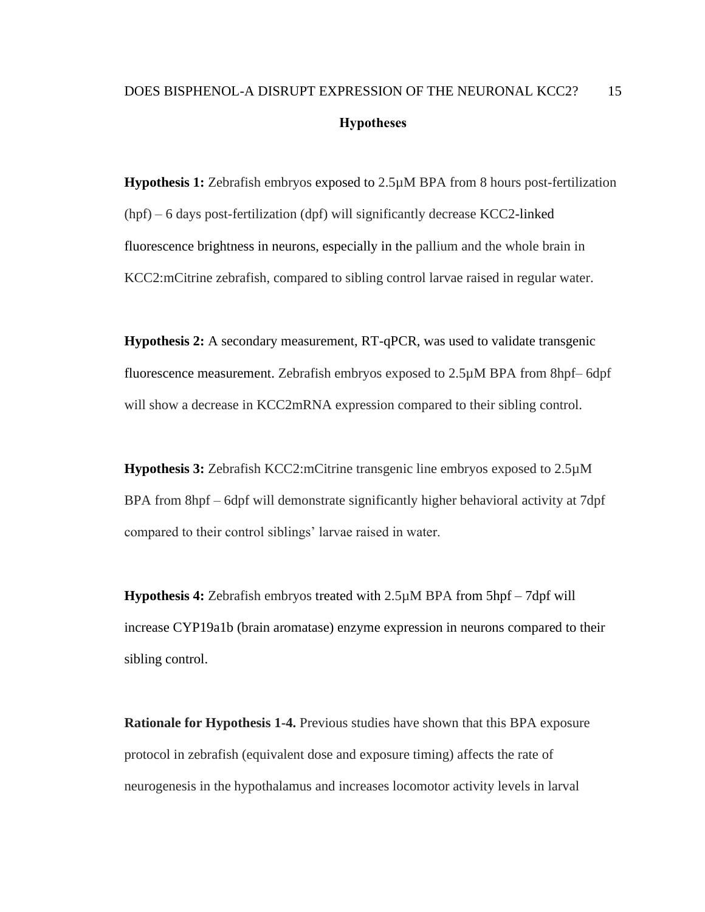## <span id="page-22-0"></span>DOES BISPHENOL-A DISRUPT EXPRESSION OF THE NEURONAL KCC2? 15 **Hypotheses**

**Hypothesis 1:** Zebrafish embryos exposed to 2.5µM BPA from 8 hours post-fertilization (hpf) – 6 days post-fertilization (dpf) will significantly decrease KCC2-linked fluorescence brightness in neurons, especially in the pallium and the whole brain in KCC2:mCitrine zebrafish, compared to sibling control larvae raised in regular water.

**Hypothesis 2:** A secondary measurement, RT-qPCR, was used to validate transgenic fluorescence measurement. Zebrafish embryos exposed to 2.5µM BPA from 8hpf– 6dpf will show a decrease in KCC2mRNA expression compared to their sibling control.

**Hypothesis 3:** Zebrafish KCC2:mCitrine transgenic line embryos exposed to 2.5µM BPA from 8hpf – 6dpf will demonstrate significantly higher behavioral activity at 7dpf compared to their control siblings' larvae raised in water.

**Hypothesis 4:** Zebrafish embryos treated with 2.5µM BPA from 5hpf – 7dpf will increase CYP19a1b (brain aromatase) enzyme expression in neurons compared to their sibling control.

**Rationale for Hypothesis 1-4.** Previous studies have shown that this BPA exposure protocol in zebrafish (equivalent dose and exposure timing) affects the rate of neurogenesis in the hypothalamus and increases locomotor activity levels in larval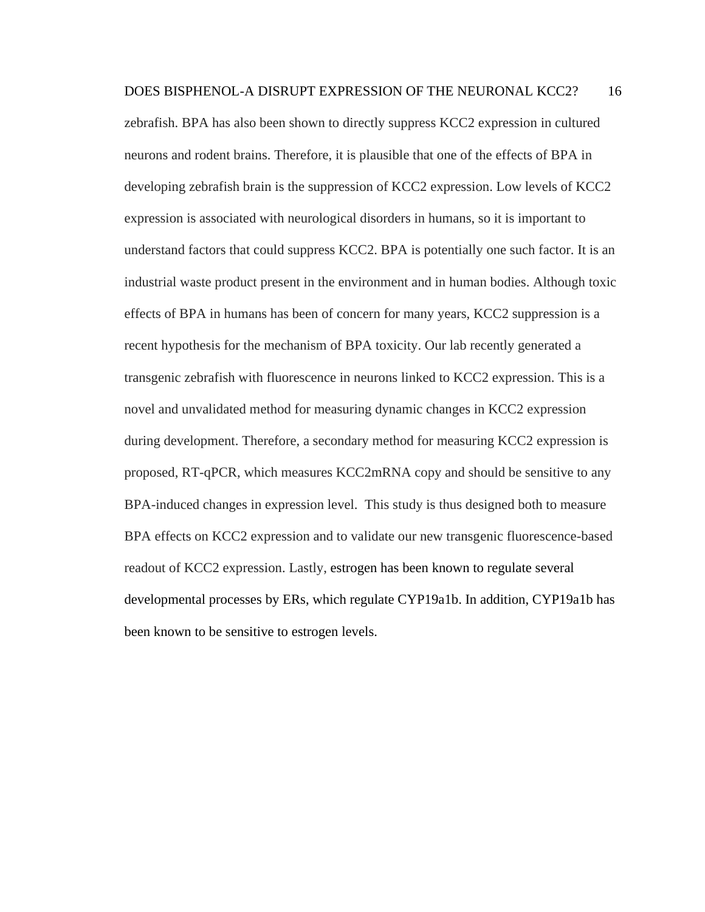zebrafish. BPA has also been shown to directly suppress KCC2 expression in cultured neurons and rodent brains. Therefore, it is plausible that one of the effects of BPA in developing zebrafish brain is the suppression of KCC2 expression. Low levels of KCC2 expression is associated with neurological disorders in humans, so it is important to understand factors that could suppress KCC2. BPA is potentially one such factor. It is an industrial waste product present in the environment and in human bodies. Although toxic effects of BPA in humans has been of concern for many years, KCC2 suppression is a recent hypothesis for the mechanism of BPA toxicity. Our lab recently generated a transgenic zebrafish with fluorescence in neurons linked to KCC2 expression. This is a novel and unvalidated method for measuring dynamic changes in KCC2 expression during development. Therefore, a secondary method for measuring KCC2 expression is proposed, RT-qPCR, which measures KCC2mRNA copy and should be sensitive to any BPA-induced changes in expression level. This study is thus designed both to measure BPA effects on KCC2 expression and to validate our new transgenic fluorescence-based readout of KCC2 expression. Lastly, estrogen has been known to regulate several developmental processes by ERs, which regulate CYP19a1b. In addition, CYP19a1b has been known to be sensitive to estrogen levels.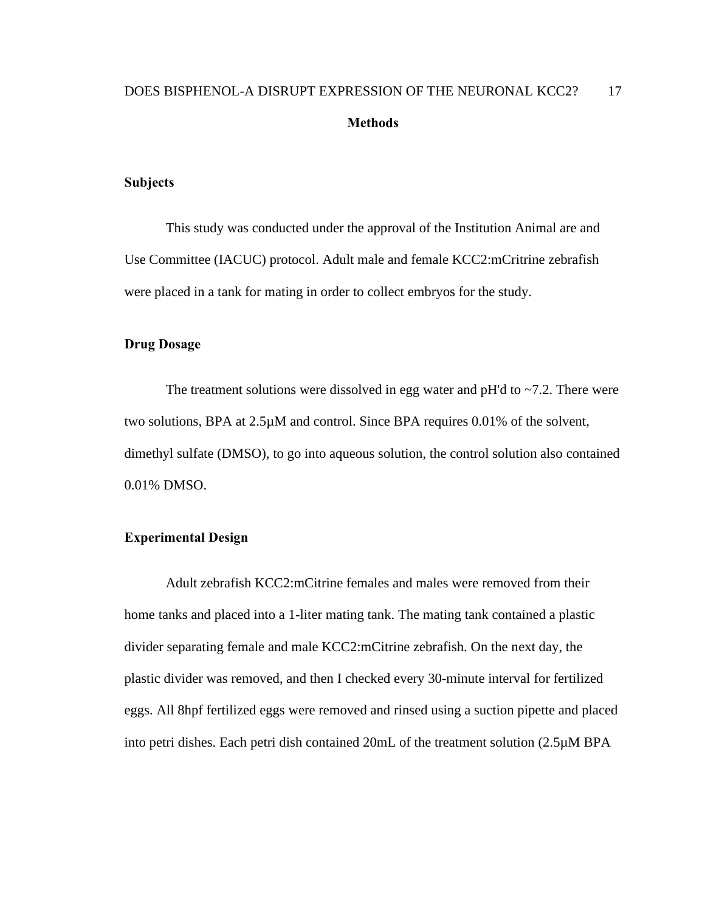#### <span id="page-24-1"></span><span id="page-24-0"></span>**Subjects**

This study was conducted under the approval of the Institution Animal are and Use Committee (IACUC) protocol. Adult male and female KCC2:mCritrine zebrafish were placed in a tank for mating in order to collect embryos for the study.

#### <span id="page-24-2"></span>**Drug Dosage**

The treatment solutions were dissolved in egg water and  $pH'd$  to  $\sim$  7.2. There were two solutions, BPA at 2.5µM and control. Since BPA requires 0.01% of the solvent, dimethyl sulfate (DMSO), to go into aqueous solution, the control solution also contained 0.01% DMSO.

#### <span id="page-24-3"></span>**Experimental Design**

Adult zebrafish KCC2:mCitrine females and males were removed from their home tanks and placed into a 1-liter mating tank. The mating tank contained a plastic divider separating female and male KCC2:mCitrine zebrafish. On the next day, the plastic divider was removed, and then I checked every 30-minute interval for fertilized eggs. All 8hpf fertilized eggs were removed and rinsed using a suction pipette and placed into petri dishes. Each petri dish contained 20mL of the treatment solution (2.5µM BPA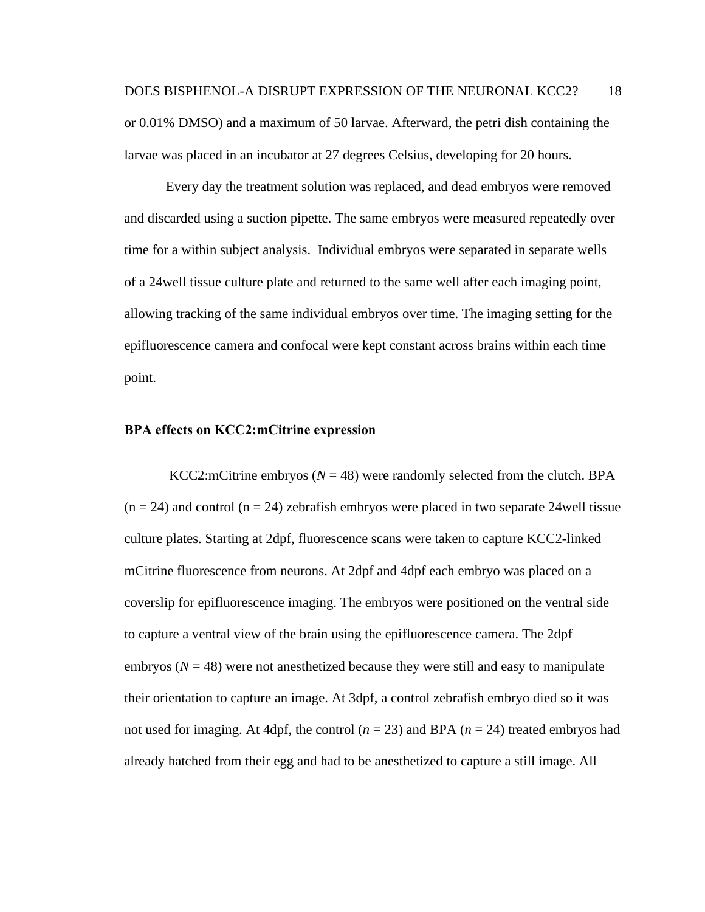Every day the treatment solution was replaced, and dead embryos were removed and discarded using a suction pipette. The same embryos were measured repeatedly over time for a within subject analysis. Individual embryos were separated in separate wells of a 24well tissue culture plate and returned to the same well after each imaging point, allowing tracking of the same individual embryos over time. The imaging setting for the epifluorescence camera and confocal were kept constant across brains within each time point.

#### <span id="page-25-0"></span>**BPA effects on KCC2:mCitrine expression**

KCC2:mCitrine embryos  $(N = 48)$  were randomly selected from the clutch. BPA  $(n = 24)$  and control  $(n = 24)$  zebrafish embryos were placed in two separate 24 well tissue culture plates. Starting at 2dpf, fluorescence scans were taken to capture KCC2-linked mCitrine fluorescence from neurons. At 2dpf and 4dpf each embryo was placed on a coverslip for epifluorescence imaging. The embryos were positioned on the ventral side to capture a ventral view of the brain using the epifluorescence camera. The 2dpf embryos  $(N = 48)$  were not anesthetized because they were still and easy to manipulate their orientation to capture an image. At 3dpf, a control zebrafish embryo died so it was not used for imaging. At 4dpf, the control (*n* = 23) and BPA (*n* = 24) treated embryos had already hatched from their egg and had to be anesthetized to capture a still image. All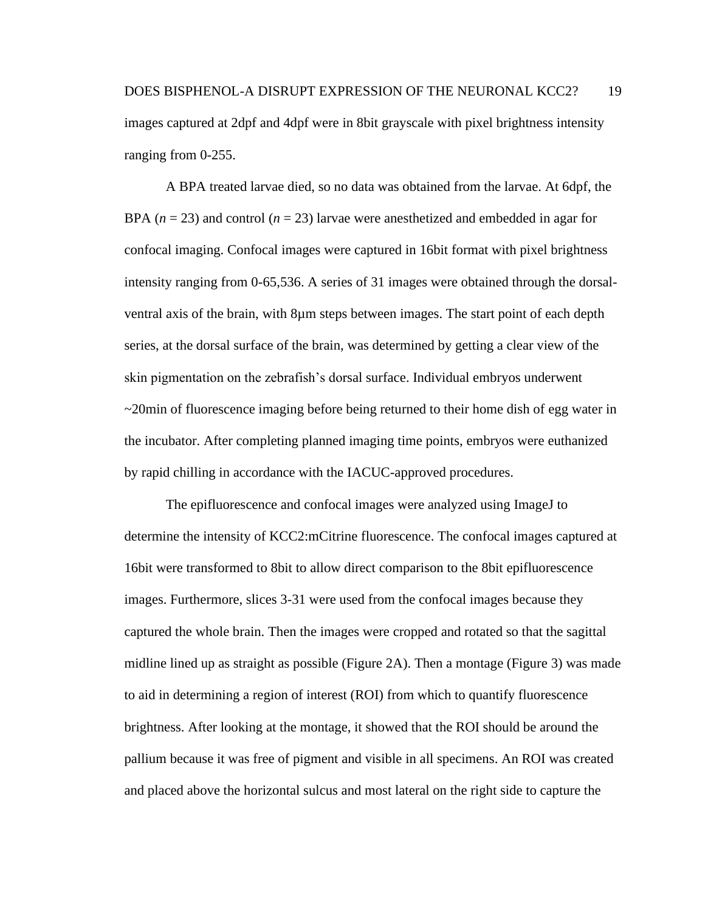A BPA treated larvae died, so no data was obtained from the larvae. At 6dpf, the BPA (*n* = 23) and control (*n* = 23) larvae were anesthetized and embedded in agar for confocal imaging. Confocal images were captured in 16bit format with pixel brightness intensity ranging from 0-65,536. A series of 31 images were obtained through the dorsalventral axis of the brain, with 8µm steps between images. The start point of each depth series, at the dorsal surface of the brain, was determined by getting a clear view of the skin pigmentation on the zebrafish's dorsal surface. Individual embryos underwent ~20min of fluorescence imaging before being returned to their home dish of egg water in the incubator. After completing planned imaging time points, embryos were euthanized by rapid chilling in accordance with the IACUC-approved procedures.

The epifluorescence and confocal images were analyzed using ImageJ to determine the intensity of KCC2:mCitrine fluorescence. The confocal images captured at 16bit were transformed to 8bit to allow direct comparison to the 8bit epifluorescence images. Furthermore, slices 3-31 were used from the confocal images because they captured the whole brain. Then the images were cropped and rotated so that the sagittal midline lined up as straight as possible (Figure 2A). Then a montage (Figure 3) was made to aid in determining a region of interest (ROI) from which to quantify fluorescence brightness. After looking at the montage, it showed that the ROI should be around the pallium because it was free of pigment and visible in all specimens. An ROI was created and placed above the horizontal sulcus and most lateral on the right side to capture the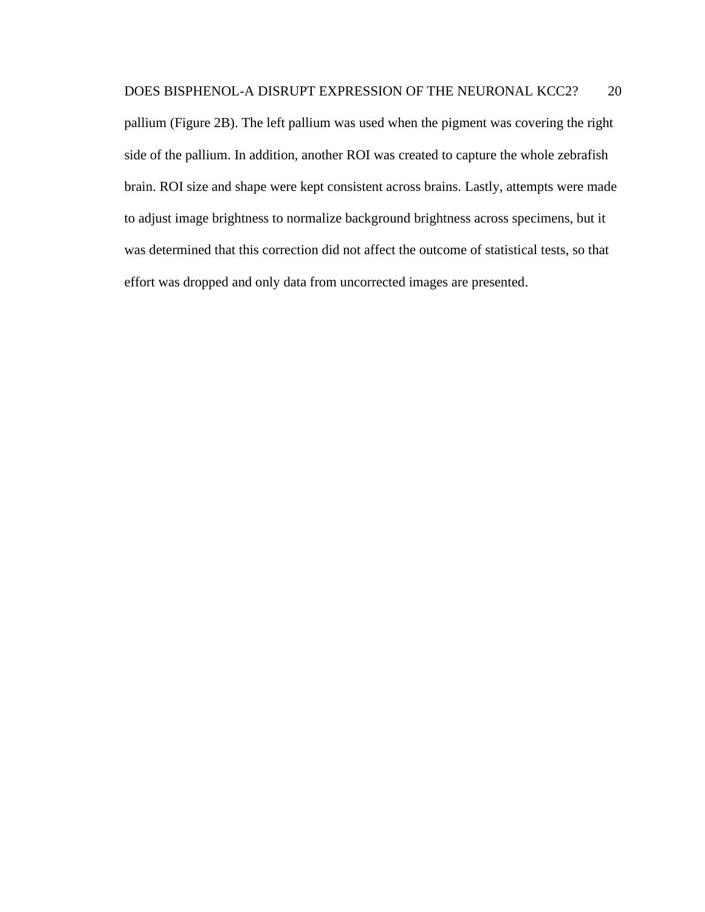pallium (Figure 2B). The left pallium was used when the pigment was covering the right side of the pallium. In addition, another ROI was created to capture the whole zebrafish brain. ROI size and shape were kept consistent across brains. Lastly, attempts were made to adjust image brightness to normalize background brightness across specimens, but it was determined that this correction did not affect the outcome of statistical tests, so that effort was dropped and only data from uncorrected images are presented.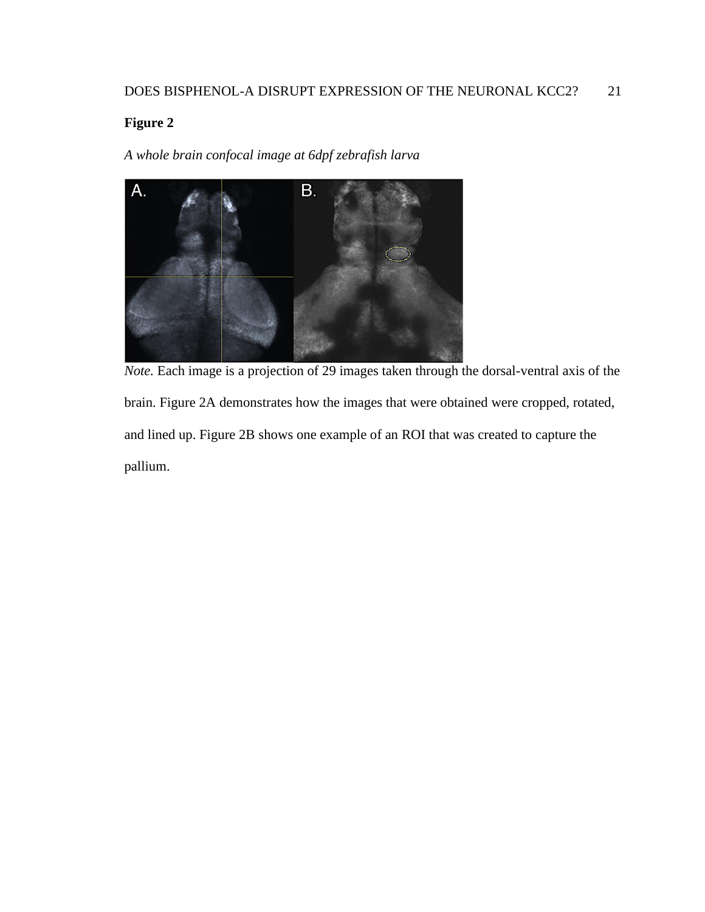<span id="page-28-0"></span>*A whole brain confocal image at 6dpf zebrafish larva*



*Note.* Each image is a projection of 29 images taken through the dorsal-ventral axis of the brain. Figure 2A demonstrates how the images that were obtained were cropped, rotated, and lined up. Figure 2B shows one example of an ROI that was created to capture the pallium.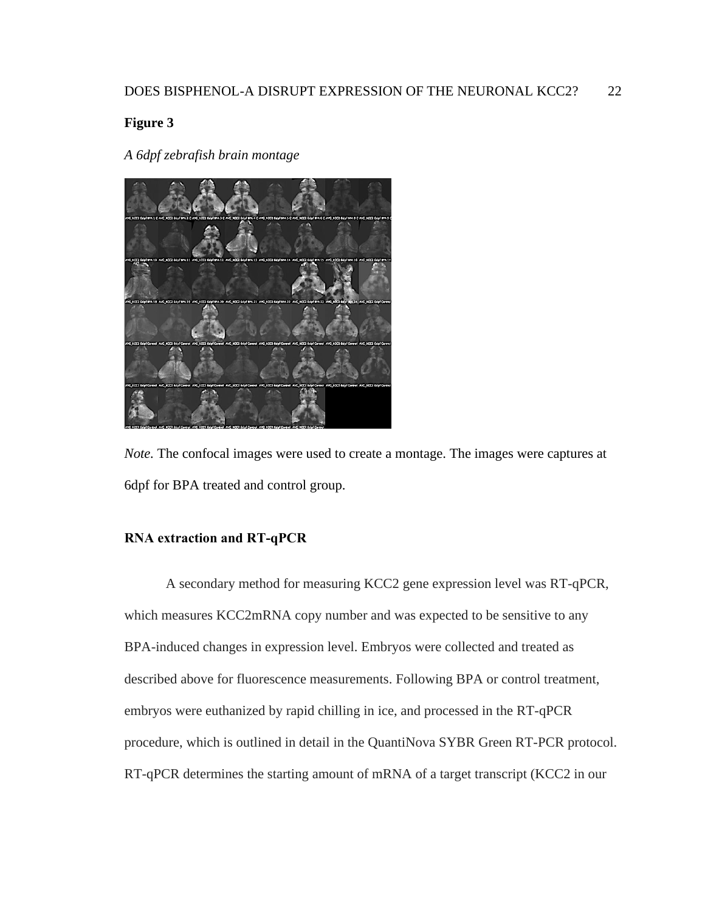### <span id="page-29-1"></span>**Figure 3**

*A 6dpf zebrafish brain montage*



*Note.* The confocal images were used to create a montage. The images were captures at 6dpf for BPA treated and control group.

### <span id="page-29-0"></span>**RNA extraction and RT-qPCR**

A secondary method for measuring KCC2 gene expression level was RT-qPCR, which measures KCC2mRNA copy number and was expected to be sensitive to any BPA-induced changes in expression level. Embryos were collected and treated as described above for fluorescence measurements. Following BPA or control treatment, embryos were euthanized by rapid chilling in ice, and processed in the RT-qPCR procedure, which is outlined in detail in the QuantiNova SYBR Green RT-PCR protocol. RT-qPCR determines the starting amount of mRNA of a target transcript (KCC2 in our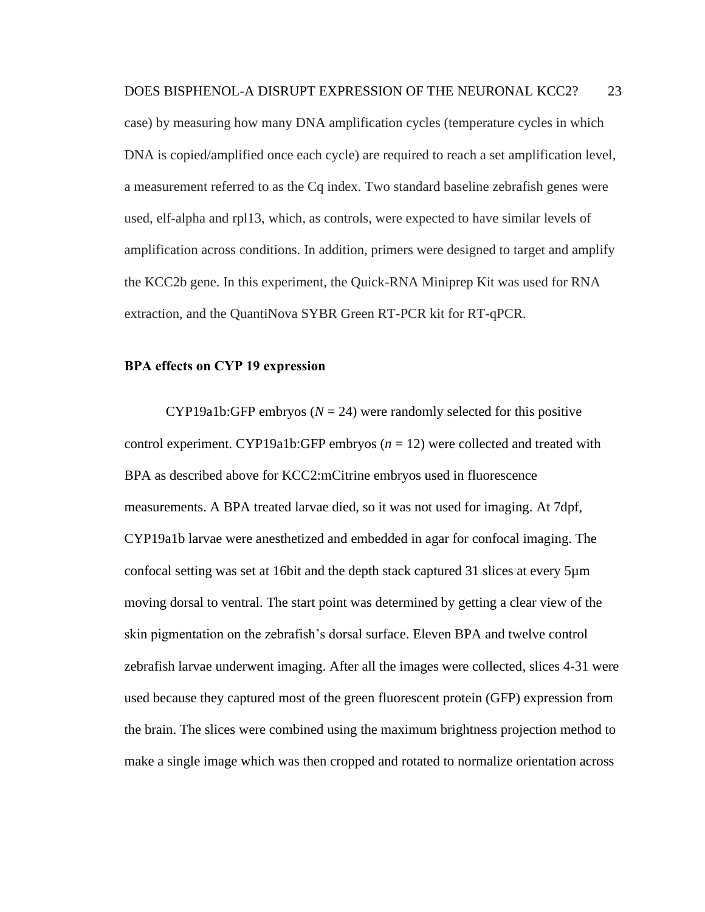case) by measuring how many DNA amplification cycles (temperature cycles in which DNA is copied/amplified once each cycle) are required to reach a set amplification level, a measurement referred to as the Cq index. Two standard baseline zebrafish genes were used, elf-alpha and rpl13, which, as controls, were expected to have similar levels of amplification across conditions. In addition, primers were designed to target and amplify the KCC2b gene. In this experiment, the Quick-RNA Miniprep Kit was used for RNA extraction, and the QuantiNova SYBR Green RT-PCR kit for RT-qPCR.

#### <span id="page-30-0"></span>**BPA effects on CYP 19 expression**

CYP19a1b:GFP embryos  $(N = 24)$  were randomly selected for this positive control experiment. CYP19a1b:GFP embryos (*n* = 12) were collected and treated with BPA as described above for KCC2:mCitrine embryos used in fluorescence measurements. A BPA treated larvae died, so it was not used for imaging. At 7dpf, CYP19a1b larvae were anesthetized and embedded in agar for confocal imaging. The confocal setting was set at 16bit and the depth stack captured 31 slices at every 5µm moving dorsal to ventral. The start point was determined by getting a clear view of the skin pigmentation on the zebrafish's dorsal surface. Eleven BPA and twelve control zebrafish larvae underwent imaging. After all the images were collected, slices 4-31 were used because they captured most of the green fluorescent protein (GFP) expression from the brain. The slices were combined using the maximum brightness projection method to make a single image which was then cropped and rotated to normalize orientation across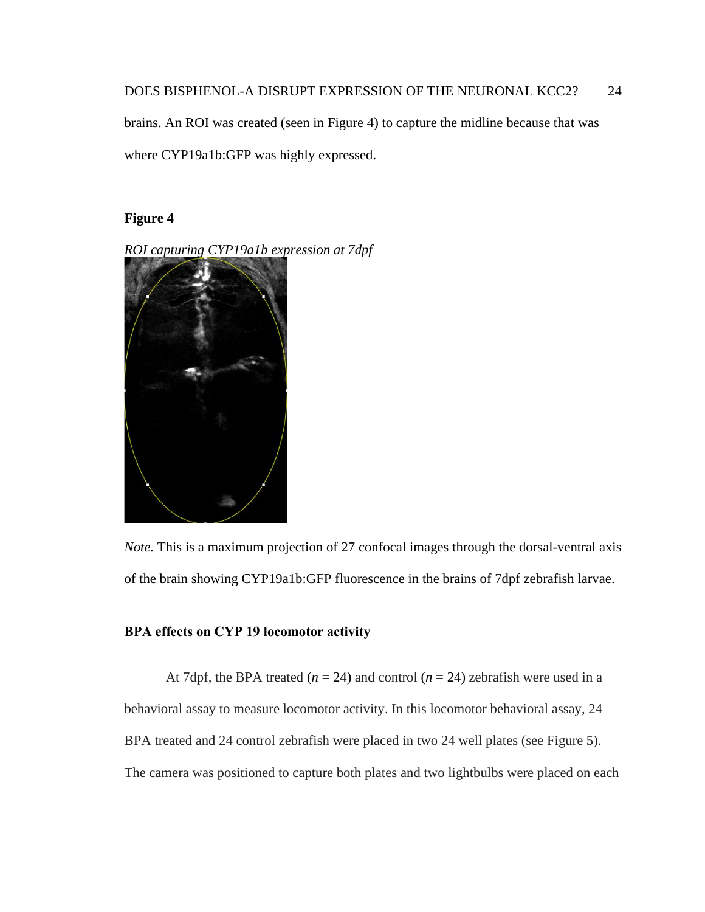brains. An ROI was created (seen in Figure 4) to capture the midline because that was where CYP19a1b:GFP was highly expressed.

### <span id="page-31-1"></span>**Figure 4**

*ROI capturing CYP19a1b expression at 7dpf*



*Note.* This is a maximum projection of 27 confocal images through the dorsal-ventral axis of the brain showing CYP19a1b:GFP fluorescence in the brains of 7dpf zebrafish larvae.

#### <span id="page-31-0"></span>**BPA effects on CYP 19 locomotor activity**

At 7dpf, the BPA treated  $(n = 24)$  and control  $(n = 24)$  zebrafish were used in a behavioral assay to measure locomotor activity. In this locomotor behavioral assay, 24 BPA treated and 24 control zebrafish were placed in two 24 well plates (see Figure 5). The camera was positioned to capture both plates and two lightbulbs were placed on each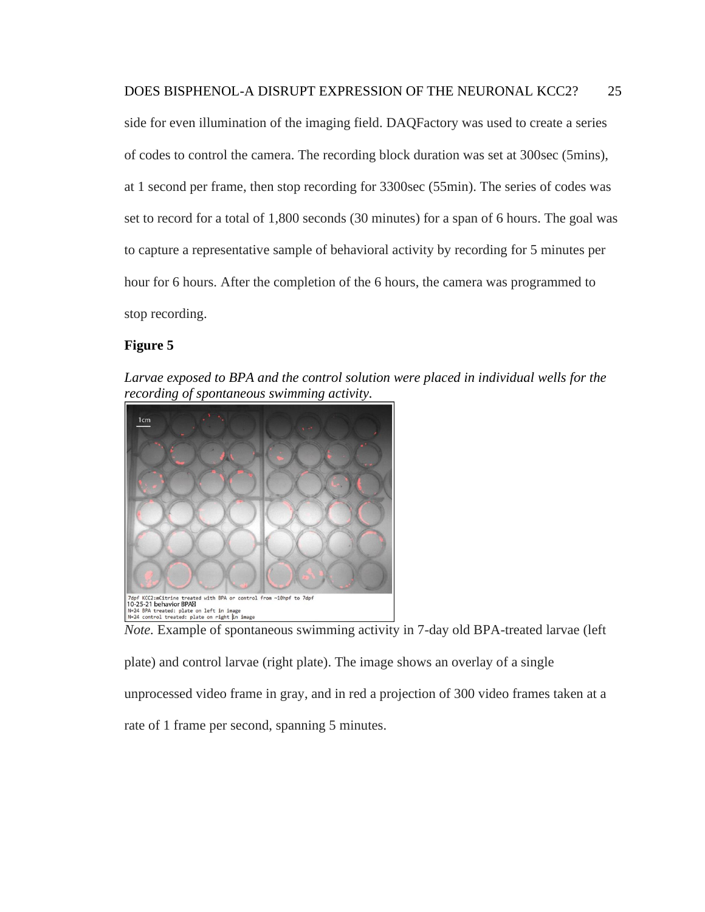side for even illumination of the imaging field. DAQFactory was used to create a series of codes to control the camera. The recording block duration was set at 300sec (5mins), at 1 second per frame, then stop recording for 3300sec (55min). The series of codes was set to record for a total of 1,800 seconds (30 minutes) for a span of 6 hours. The goal was to capture a representative sample of behavioral activity by recording for 5 minutes per hour for 6 hours. After the completion of the 6 hours, the camera was programmed to stop recording.

#### <span id="page-32-0"></span>**Figure 5**

Larvae exposed to BPA and the control solution were placed in individual wells for the *recording of spontaneous swimming activity.*



*Note.* Example of spontaneous swimming activity in 7-day old BPA-treated larvae (left plate) and control larvae (right plate). The image shows an overlay of a single unprocessed video frame in gray, and in red a projection of 300 video frames taken at a rate of 1 frame per second, spanning 5 minutes.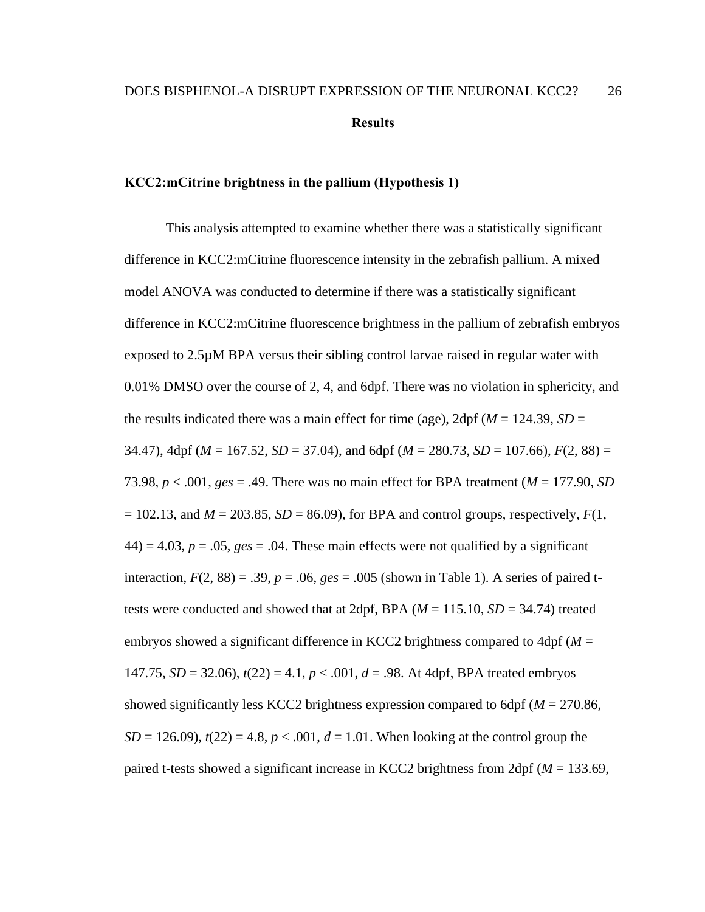#### <span id="page-33-1"></span><span id="page-33-0"></span>**KCC2:mCitrine brightness in the pallium (Hypothesis 1)**

This analysis attempted to examine whether there was a statistically significant difference in KCC2:mCitrine fluorescence intensity in the zebrafish pallium. A mixed model ANOVA was conducted to determine if there was a statistically significant difference in KCC2:mCitrine fluorescence brightness in the pallium of zebrafish embryos exposed to 2.5µM BPA versus their sibling control larvae raised in regular water with 0.01% DMSO over the course of 2, 4, and 6dpf. There was no violation in sphericity, and the results indicated there was a main effect for time (age),  $2dpf(M = 124.39, SD =$ 34.47), 4dpf (*M* = 167.52, *SD* = 37.04), and 6dpf (*M* = 280.73, *SD* = 107.66), *F*(2, 88) = 73.98, *p* < .001, *ges* = .49. There was no main effect for BPA treatment (*M* = 177.90, *SD*  $= 102.13$ , and  $M = 203.85$ ,  $SD = 86.09$ ), for BPA and control groups, respectively,  $F(1, 6)$  $44$ ) = 4.03,  $p = 0.05$ ,  $ges = 0.04$ . These main effects were not qualified by a significant interaction,  $F(2, 88) = .39$ ,  $p = .06$ ,  $ges = .005$  (shown in Table 1). A series of paired ttests were conducted and showed that at 2dpf, BPA  $(M = 115.10, SD = 34.74)$  treated embryos showed a significant difference in KCC2 brightness compared to 4dpf (*M* = 147.75,  $SD = 32.06$ ,  $t(22) = 4.1$ ,  $p < .001$ ,  $d = .98$ . At 4dpf, BPA treated embryos showed significantly less KCC2 brightness expression compared to 6dpf (*M* = 270.86, *SD* = 126.09),  $t(22) = 4.8$ ,  $p < .001$ ,  $d = 1.01$ . When looking at the control group the paired t-tests showed a significant increase in KCC2 brightness from 2dpf (*M* = 133.69,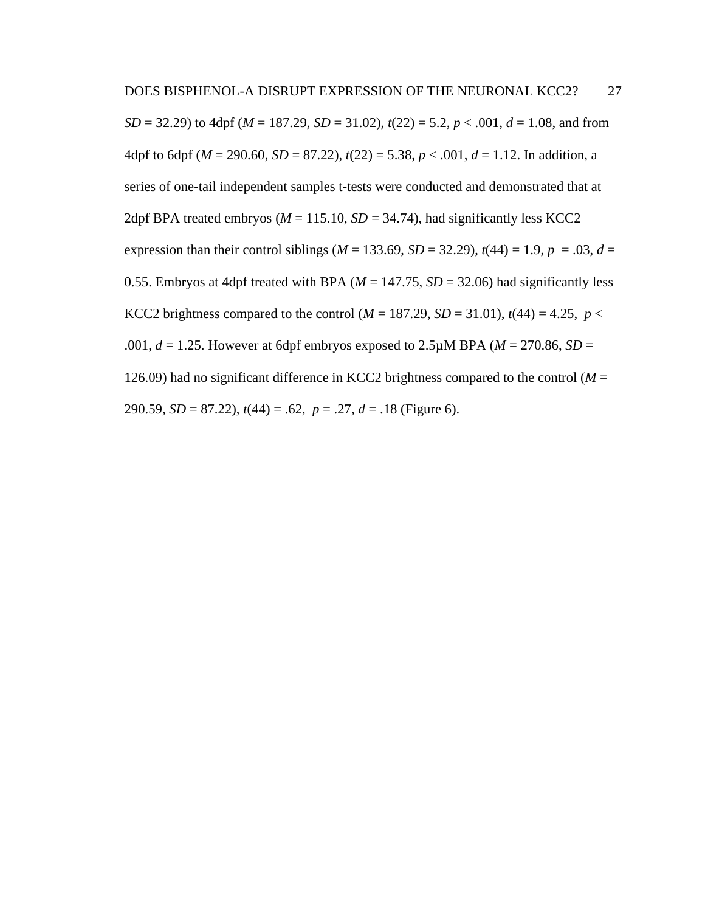*SD* = 32.29) to 4dpf ( $M = 187.29$ ,  $SD = 31.02$ ),  $t(22) = 5.2$ ,  $p < .001$ ,  $d = 1.08$ , and from 4dpf to 6dpf ( $M = 290.60$ ,  $SD = 87.22$ ),  $t(22) = 5.38$ ,  $p < .001$ ,  $d = 1.12$ . In addition, a series of one-tail independent samples t-tests were conducted and demonstrated that at 2dpf BPA treated embryos ( $M = 115.10$ ,  $SD = 34.74$ ), had significantly less KCC2 expression than their control siblings ( $M = 133.69$ ,  $SD = 32.29$ ),  $t(44) = 1.9$ ,  $p = .03$ ,  $d =$ 0.55. Embryos at 4dpf treated with BPA ( $M = 147.75$ ,  $SD = 32.06$ ) had significantly less KCC2 brightness compared to the control ( $M = 187.29$ ,  $SD = 31.01$ ),  $t(44) = 4.25$ ,  $p <$ .001,  $d = 1.25$ . However at 6dpf embryos exposed to 2.5 $\mu$ M BPA ( $M = 270.86$ ,  $SD =$ 126.09) had no significant difference in KCC2 brightness compared to the control ( $M =$ 290.59, *SD* = 87.22), *t*(44) = .62, *p* = .27, *d* = .18 (Figure 6).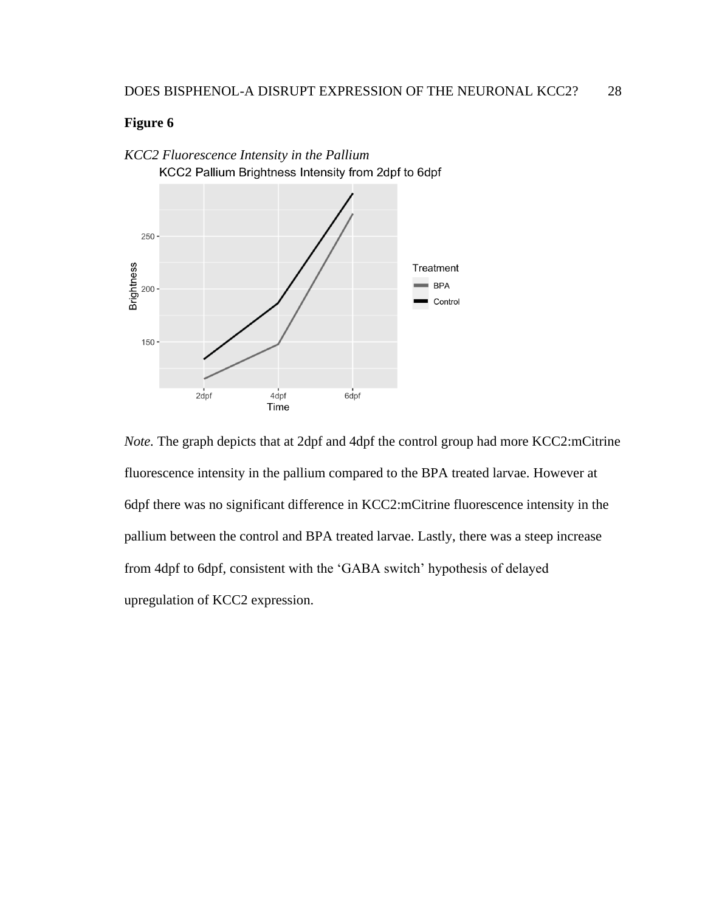

<span id="page-35-0"></span>*KCC2 Fluorescence Intensity in the Pallium* KCC2 Pallium Brightness Intensity from 2dpf to 6dpf

*Note.* The graph depicts that at 2dpf and 4dpf the control group had more KCC2:mCitrine fluorescence intensity in the pallium compared to the BPA treated larvae. However at 6dpf there was no significant difference in KCC2:mCitrine fluorescence intensity in the pallium between the control and BPA treated larvae. Lastly, there was a steep increase from 4dpf to 6dpf, consistent with the 'GABA switch' hypothesis of delayed upregulation of KCC2 expression.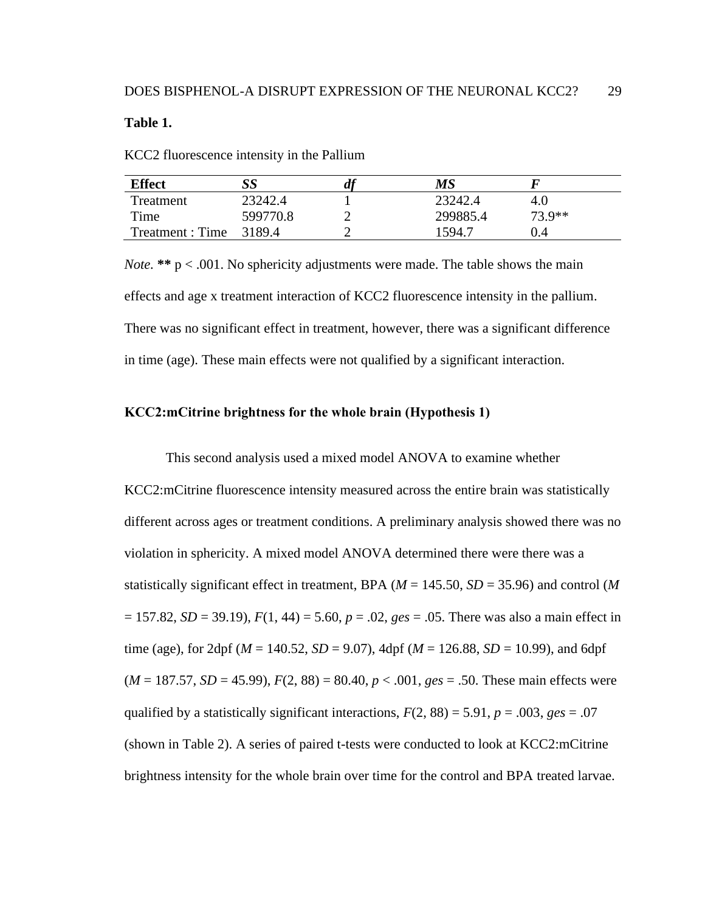<span id="page-36-1"></span>**Table 1.**

KCC2 fluorescence intensity in the Pallium

| <b>Effect</b>          |          | u | MS       |          |
|------------------------|----------|---|----------|----------|
| Treatment              | 23242.4  |   | 23242.4  | 4.0      |
| Time                   | 599770.8 |   | 299885.4 | $73.9**$ |
| Treatment: Time 3189.4 |          |   | 1594.7   | 0.4      |

*Note.* **\*\*** p < .001. No sphericity adjustments were made. The table shows the main effects and age x treatment interaction of KCC2 fluorescence intensity in the pallium. There was no significant effect in treatment, however, there was a significant difference in time (age). These main effects were not qualified by a significant interaction.

#### <span id="page-36-0"></span>**KCC2:mCitrine brightness for the whole brain (Hypothesis 1)**

This second analysis used a mixed model ANOVA to examine whether KCC2:mCitrine fluorescence intensity measured across the entire brain was statistically different across ages or treatment conditions. A preliminary analysis showed there was no violation in sphericity. A mixed model ANOVA determined there were there was a statistically significant effect in treatment, BPA (*M* = 145.50, *SD* = 35.96) and control (*M*  $= 157.82$ , *SD* = 39.19),  $F(1, 44) = 5.60$ ,  $p = .02$ ,  $ges = .05$ . There was also a main effect in time (age), for 2dpf ( $M = 140.52$ ,  $SD = 9.07$ ), 4dpf ( $M = 126.88$ ,  $SD = 10.99$ ), and 6dpf  $(M = 187.57, SD = 45.99), F(2, 88) = 80.40, p < .001, ges = .50.$  These main effects were qualified by a statistically significant interactions,  $F(2, 88) = 5.91$ ,  $p = .003$ ,  $ges = .07$ (shown in Table 2). A series of paired t-tests were conducted to look at KCC2:mCitrine brightness intensity for the whole brain over time for the control and BPA treated larvae.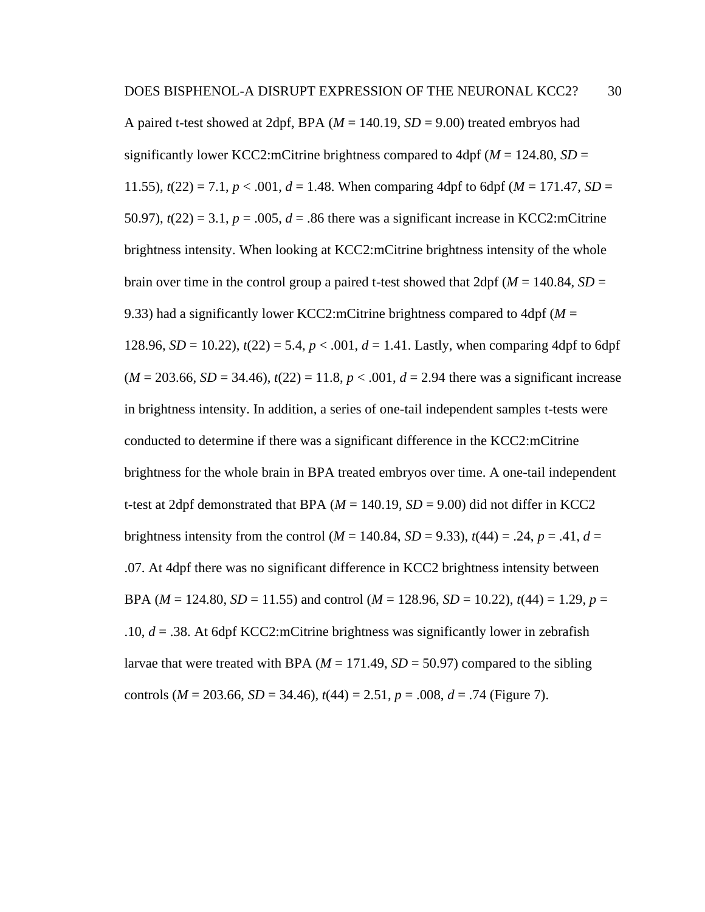A paired t-test showed at 2dpf, BPA  $(M = 140.19, SD = 9.00)$  treated embryos had significantly lower KCC2:mCitrine brightness compared to  $4dpf (M = 124.80, SD =$ 11.55),  $t(22) = 7.1$ ,  $p < .001$ ,  $d = 1.48$ . When comparing 4dpf to 6dpf ( $M = 171.47$ ,  $SD =$ 50.97),  $t(22) = 3.1$ ,  $p = .005$ ,  $d = .86$  there was a significant increase in KCC2:mCitrine brightness intensity. When looking at KCC2:mCitrine brightness intensity of the whole brain over time in the control group a paired t-test showed that  $2dpf(M = 140.84, SD =$ 9.33) had a significantly lower KCC2:mCitrine brightness compared to 4dpf (*M* = 128.96, *SD* = 10.22),  $t(22) = 5.4$ ,  $p < .001$ ,  $d = 1.41$ . Lastly, when comparing 4dpf to 6dpf  $(M = 203.66, SD = 34.46), t(22) = 11.8, p < .001, d = 2.94$  there was a significant increase in brightness intensity. In addition, a series of one-tail independent samples t-tests were conducted to determine if there was a significant difference in the KCC2:mCitrine brightness for the whole brain in BPA treated embryos over time. A one-tail independent t-test at 2dpf demonstrated that BPA  $(M = 140.19, SD = 9.00)$  did not differ in KCC2 brightness intensity from the control ( $M = 140.84$ ,  $SD = 9.33$ ),  $t(44) = .24$ ,  $p = .41$ ,  $d =$ .07. At 4dpf there was no significant difference in KCC2 brightness intensity between BPA ( $M = 124.80$ ,  $SD = 11.55$ ) and control ( $M = 128.96$ ,  $SD = 10.22$ ),  $t(44) = 1.29$ ,  $p =$ .10, *d* = .38. At 6dpf KCC2:mCitrine brightness was significantly lower in zebrafish larvae that were treated with BPA  $(M = 171.49, SD = 50.97)$  compared to the sibling controls ( $M = 203.66$ ,  $SD = 34.46$ ),  $t(44) = 2.51$ ,  $p = .008$ ,  $d = .74$  (Figure 7).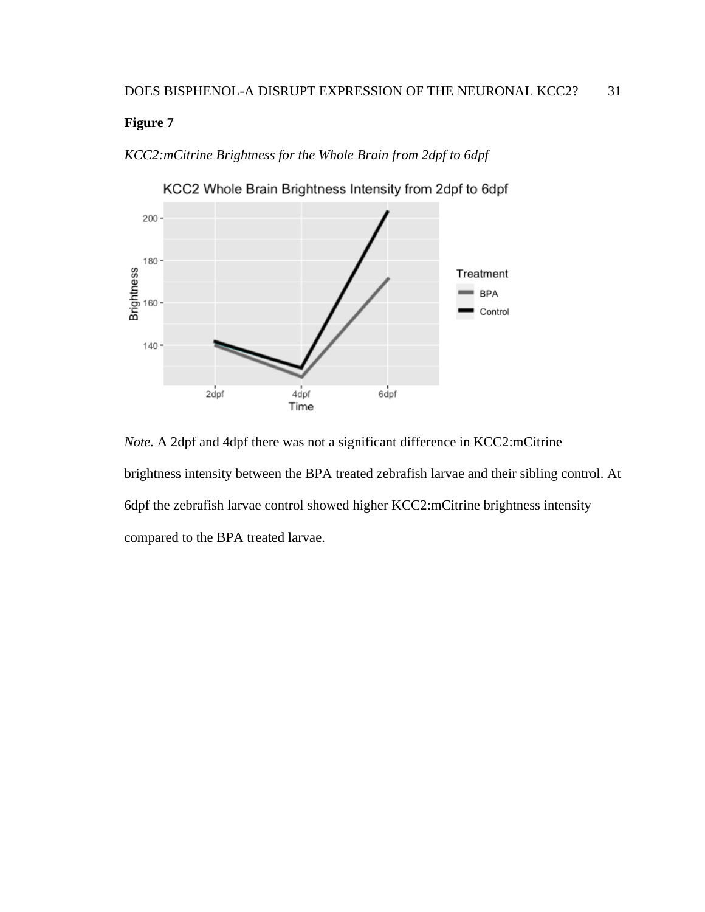<span id="page-38-0"></span>*KCC2:mCitrine Brightness for the Whole Brain from 2dpf to 6dpf*



KCC2 Whole Brain Brightness Intensity from 2dpf to 6dpf

*Note.* A 2dpf and 4dpf there was not a significant difference in KCC2:mCitrine brightness intensity between the BPA treated zebrafish larvae and their sibling control. At 6dpf the zebrafish larvae control showed higher KCC2:mCitrine brightness intensity compared to the BPA treated larvae.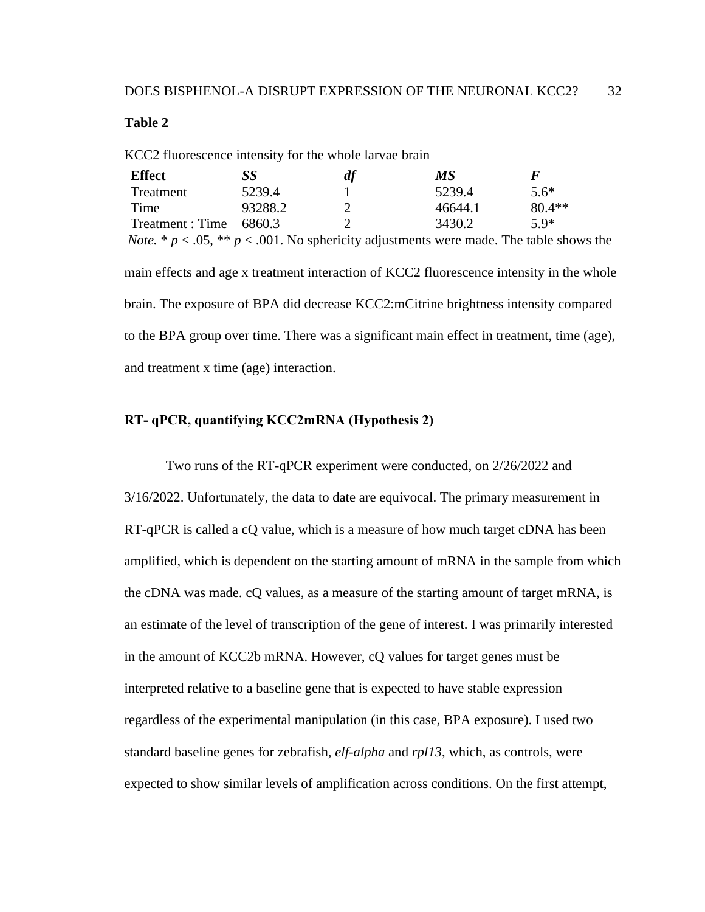#### <span id="page-39-1"></span>**Table 2**

| <b>Effect</b>    |         |   | MS      |          |  |
|------------------|---------|---|---------|----------|--|
|                  |         | ш |         |          |  |
| Treatment        | 5239.4  |   | 5239.4  | $5.6*$   |  |
| Time             | 93288.2 |   | 46644.1 | $80.4**$ |  |
| Treatment : Time | 6860.3  |   | 3430.2  | $5.9*$   |  |

KCC2 fluorescence intensity for the whole larvae brain

*Note.* \*  $p < .05$ , \*\*  $p < .001$ . No sphericity adjustments were made. The table shows the main effects and age x treatment interaction of KCC2 fluorescence intensity in the whole brain. The exposure of BPA did decrease KCC2:mCitrine brightness intensity compared to the BPA group over time. There was a significant main effect in treatment, time (age), and treatment x time (age) interaction.

#### <span id="page-39-0"></span>**RT- qPCR, quantifying KCC2mRNA (Hypothesis 2)**

Two runs of the RT-qPCR experiment were conducted, on 2/26/2022 and 3/16/2022. Unfortunately, the data to date are equivocal. The primary measurement in RT-qPCR is called a cQ value, which is a measure of how much target cDNA has been amplified, which is dependent on the starting amount of mRNA in the sample from which the cDNA was made. cQ values, as a measure of the starting amount of target mRNA, is an estimate of the level of transcription of the gene of interest. I was primarily interested in the amount of KCC2b mRNA. However, cQ values for target genes must be interpreted relative to a baseline gene that is expected to have stable expression regardless of the experimental manipulation (in this case, BPA exposure). I used two standard baseline genes for zebrafish, *elf-alpha* and *rpl13*, which, as controls, were expected to show similar levels of amplification across conditions. On the first attempt,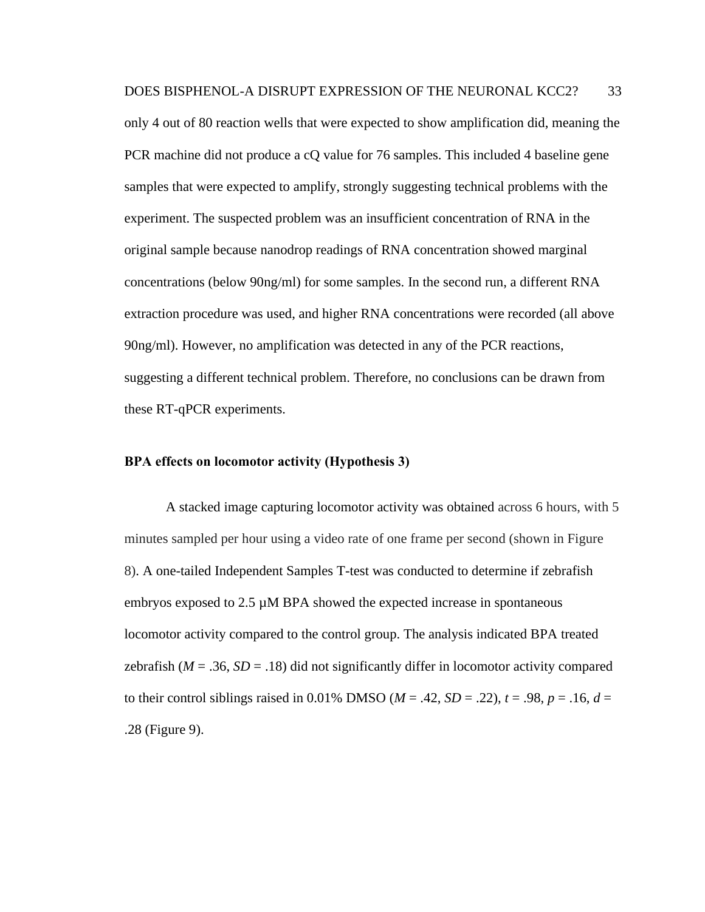only 4 out of 80 reaction wells that were expected to show amplification did, meaning the PCR machine did not produce a cQ value for 76 samples. This included 4 baseline gene samples that were expected to amplify, strongly suggesting technical problems with the experiment. The suspected problem was an insufficient concentration of RNA in the original sample because nanodrop readings of RNA concentration showed marginal concentrations (below 90ng/ml) for some samples. In the second run, a different RNA extraction procedure was used, and higher RNA concentrations were recorded (all above 90ng/ml). However, no amplification was detected in any of the PCR reactions, suggesting a different technical problem. Therefore, no conclusions can be drawn from these RT-qPCR experiments.

#### <span id="page-40-0"></span>**BPA effects on locomotor activity (Hypothesis 3)**

A stacked image capturing locomotor activity was obtained across 6 hours, with 5 minutes sampled per hour using a video rate of one frame per second (shown in Figure 8). A one-tailed Independent Samples T-test was conducted to determine if zebrafish embryos exposed to 2.5 µM BPA showed the expected increase in spontaneous locomotor activity compared to the control group. The analysis indicated BPA treated zebrafish  $(M = .36, SD = .18)$  did not significantly differ in locomotor activity compared to their control siblings raised in 0.01% DMSO ( $M = .42$ ,  $SD = .22$ ),  $t = .98$ ,  $p = .16$ ,  $d =$ .28 (Figure 9).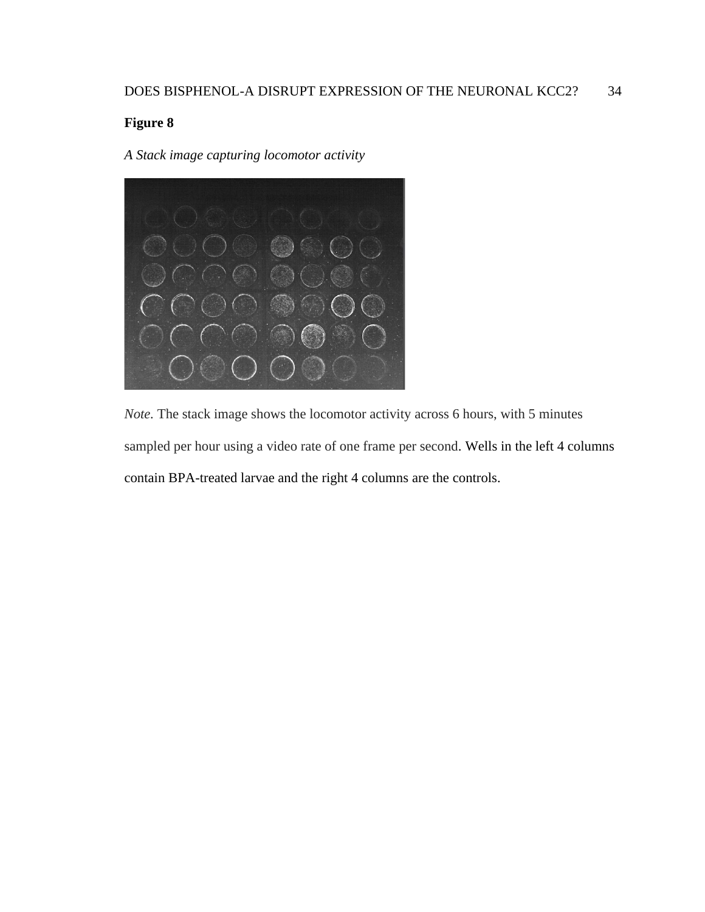<span id="page-41-0"></span>*A Stack image capturing locomotor activity*



*Note.* The stack image shows the locomotor activity across 6 hours, with 5 minutes sampled per hour using a video rate of one frame per second. Wells in the left 4 columns contain BPA-treated larvae and the right 4 columns are the controls.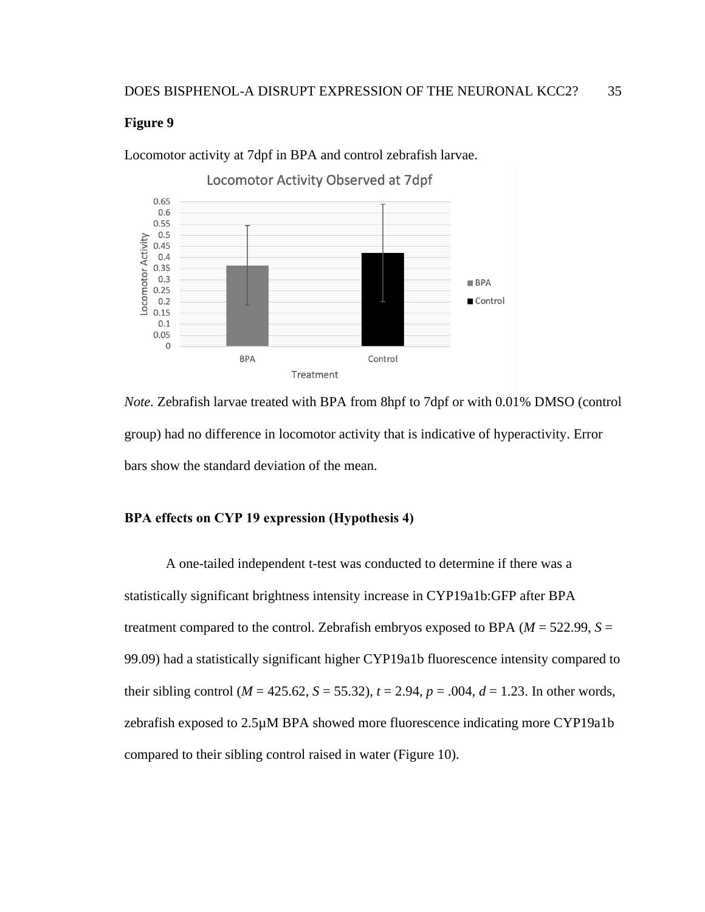

<span id="page-42-1"></span>Locomotor activity at 7dpf in BPA and control zebrafish larvae.

*Note.* Zebrafish larvae treated with BPA from 8hpf to 7dpf or with 0.01% DMSO (control group) had no difference in locomotor activity that is indicative of hyperactivity. Error bars show the standard deviation of the mean.

#### <span id="page-42-0"></span>**BPA effects on CYP 19 expression (Hypothesis 4)**

A one-tailed independent t-test was conducted to determine if there was a statistically significant brightness intensity increase in CYP19a1b:GFP after BPA treatment compared to the control. Zebrafish embryos exposed to BPA ( $M = 522.99$ ,  $S =$ 99.09) had a statistically significant higher CYP19a1b fluorescence intensity compared to their sibling control ( $M = 425.62$ ,  $S = 55.32$ ),  $t = 2.94$ ,  $p = .004$ ,  $d = 1.23$ . In other words, zebrafish exposed to 2.5µM BPA showed more fluorescence indicating more CYP19a1b compared to their sibling control raised in water (Figure 10).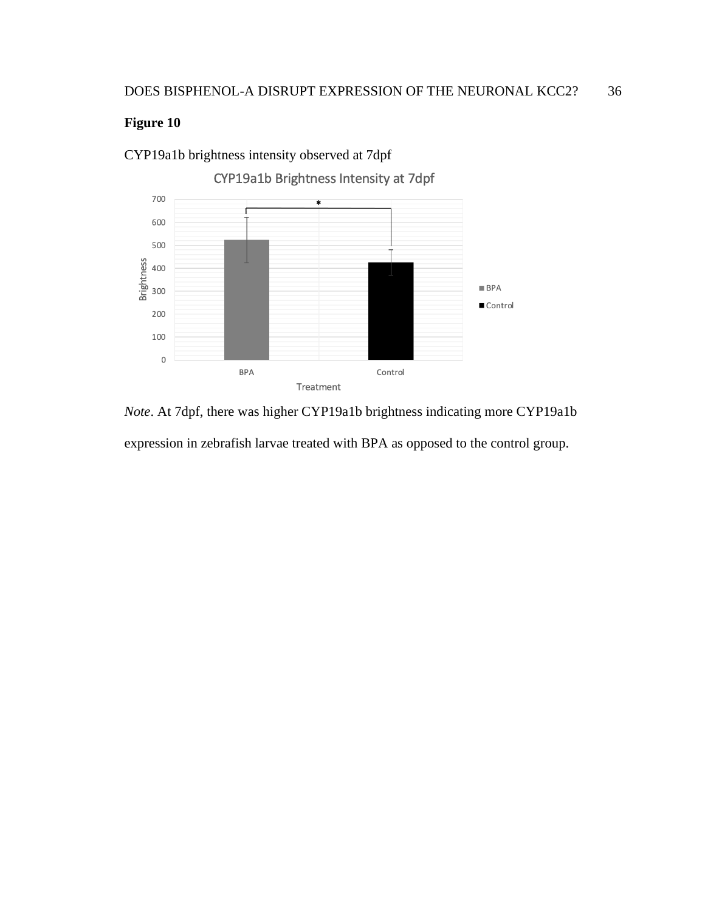

<span id="page-43-0"></span>CYP19a1b brightness intensity observed at 7dpf

*Note*. At 7dpf, there was higher CYP19a1b brightness indicating more CYP19a1b expression in zebrafish larvae treated with BPA as opposed to the control group.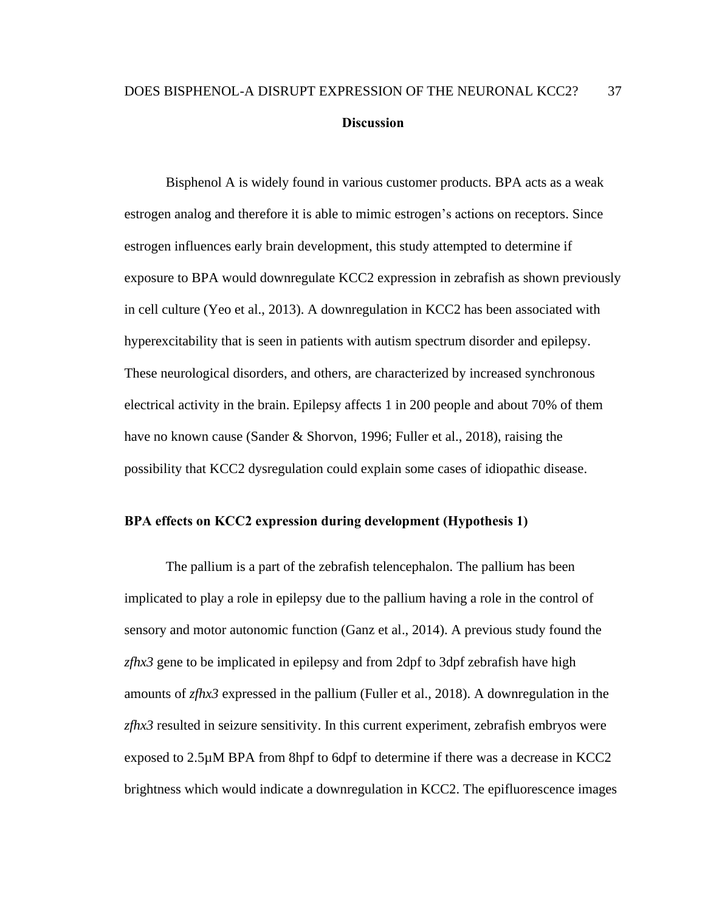## <span id="page-44-0"></span>DOES BISPHENOL-A DISRUPT EXPRESSION OF THE NEURONAL KCC2? 37 **Discussion**

Bisphenol A is widely found in various customer products. BPA acts as a weak estrogen analog and therefore it is able to mimic estrogen's actions on receptors. Since estrogen influences early brain development, this study attempted to determine if exposure to BPA would downregulate KCC2 expression in zebrafish as shown previously in cell culture (Yeo et al., 2013). A downregulation in KCC2 has been associated with hyperexcitability that is seen in patients with autism spectrum disorder and epilepsy. These neurological disorders, and others, are characterized by increased synchronous electrical activity in the brain. Epilepsy affects 1 in 200 people and about 70% of them have no known cause (Sander & Shorvon, 1996; Fuller et al., 2018), raising the possibility that KCC2 dysregulation could explain some cases of idiopathic disease.

#### <span id="page-44-1"></span>**BPA effects on KCC2 expression during development (Hypothesis 1)**

The pallium is a part of the zebrafish telencephalon. The pallium has been implicated to play a role in epilepsy due to the pallium having a role in the control of sensory and motor autonomic function (Ganz et al., 2014). A previous study found the *zfhx3* gene to be implicated in epilepsy and from 2dpf to 3dpf zebrafish have high amounts of *zfhx3* expressed in the pallium (Fuller et al., 2018). A downregulation in the *zfhx3* resulted in seizure sensitivity. In this current experiment, zebrafish embryos were exposed to 2.5µM BPA from 8hpf to 6dpf to determine if there was a decrease in KCC2 brightness which would indicate a downregulation in KCC2. The epifluorescence images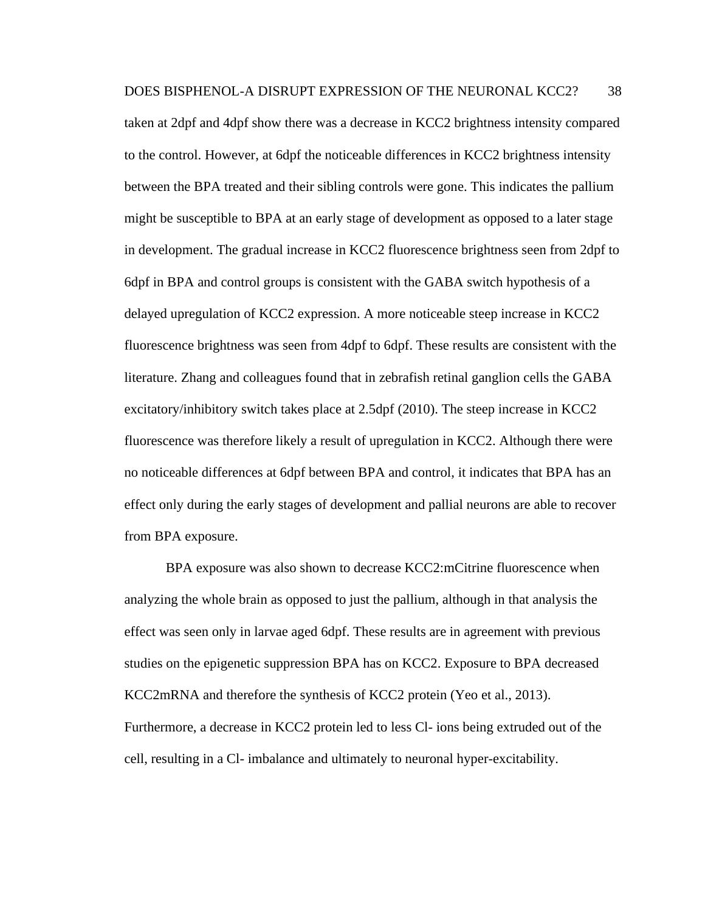DOES BISPHENOL-A DISRUPT EXPRESSION OF THE NEURONAL KCC2? 38 taken at 2dpf and 4dpf show there was a decrease in KCC2 brightness intensity compared to the control. However, at 6dpf the noticeable differences in KCC2 brightness intensity between the BPA treated and their sibling controls were gone. This indicates the pallium might be susceptible to BPA at an early stage of development as opposed to a later stage in development. The gradual increase in KCC2 fluorescence brightness seen from 2dpf to 6dpf in BPA and control groups is consistent with the GABA switch hypothesis of a delayed upregulation of KCC2 expression. A more noticeable steep increase in KCC2 fluorescence brightness was seen from 4dpf to 6dpf. These results are consistent with the literature. Zhang and colleagues found that in zebrafish retinal ganglion cells the GABA excitatory/inhibitory switch takes place at 2.5dpf (2010). The steep increase in KCC2 fluorescence was therefore likely a result of upregulation in KCC2. Although there were no noticeable differences at 6dpf between BPA and control, it indicates that BPA has an effect only during the early stages of development and pallial neurons are able to recover from BPA exposure.

BPA exposure was also shown to decrease KCC2:mCitrine fluorescence when analyzing the whole brain as opposed to just the pallium, although in that analysis the effect was seen only in larvae aged 6dpf. These results are in agreement with previous studies on the epigenetic suppression BPA has on KCC2. Exposure to BPA decreased KCC2mRNA and therefore the synthesis of KCC2 protein (Yeo et al., 2013). Furthermore, a decrease in KCC2 protein led to less Cl- ions being extruded out of the cell, resulting in a Cl- imbalance and ultimately to neuronal hyper-excitability.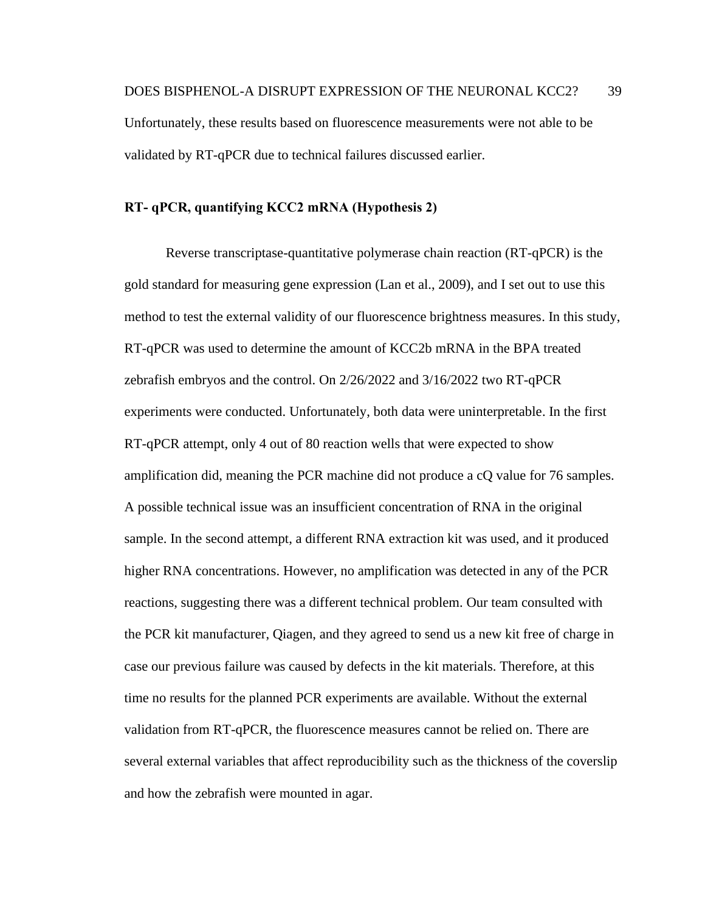#### <span id="page-46-0"></span>**RT- qPCR, quantifying KCC2 mRNA (Hypothesis 2)**

Reverse transcriptase-quantitative polymerase chain reaction (RT-qPCR) is the gold standard for measuring gene expression (Lan et al., 2009), and I set out to use this method to test the external validity of our fluorescence brightness measures. In this study, RT-qPCR was used to determine the amount of KCC2b mRNA in the BPA treated zebrafish embryos and the control. On 2/26/2022 and 3/16/2022 two RT-qPCR experiments were conducted. Unfortunately, both data were uninterpretable. In the first RT-qPCR attempt, only 4 out of 80 reaction wells that were expected to show amplification did, meaning the PCR machine did not produce a cQ value for 76 samples. A possible technical issue was an insufficient concentration of RNA in the original sample. In the second attempt, a different RNA extraction kit was used, and it produced higher RNA concentrations. However, no amplification was detected in any of the PCR reactions, suggesting there was a different technical problem. Our team consulted with the PCR kit manufacturer, Qiagen, and they agreed to send us a new kit free of charge in case our previous failure was caused by defects in the kit materials. Therefore, at this time no results for the planned PCR experiments are available. Without the external validation from RT-qPCR, the fluorescence measures cannot be relied on. There are several external variables that affect reproducibility such as the thickness of the coverslip and how the zebrafish were mounted in agar.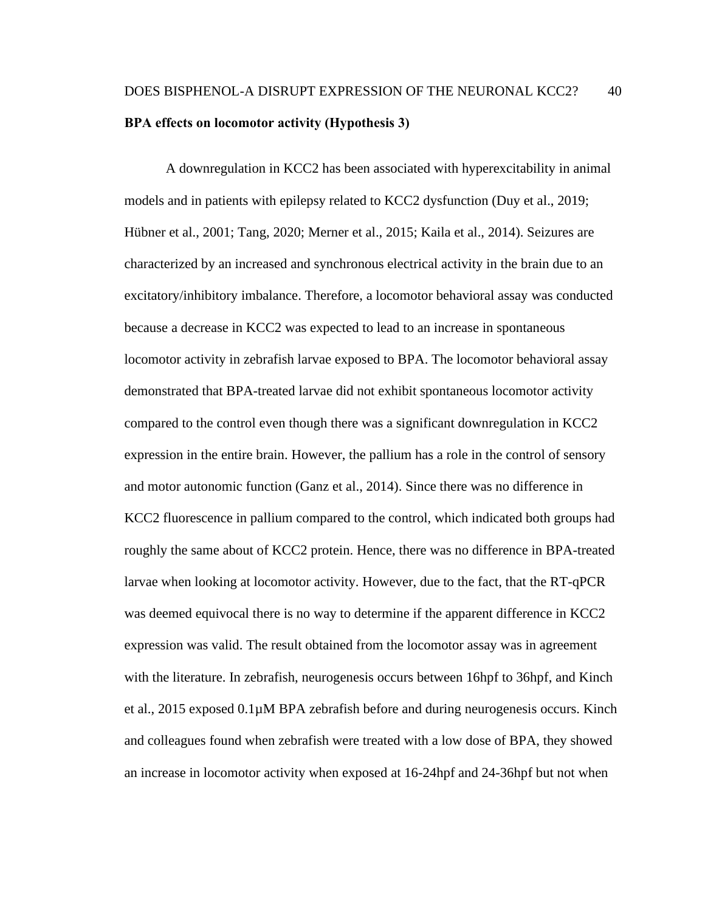## <span id="page-47-0"></span>DOES BISPHENOL-A DISRUPT EXPRESSION OF THE NEURONAL KCC2? 40 **BPA effects on locomotor activity (Hypothesis 3)**

A downregulation in KCC2 has been associated with hyperexcitability in animal models and in patients with epilepsy related to KCC2 dysfunction (Duy et al., 2019; Hübner et al., 2001; Tang, 2020; Merner et al., 2015; Kaila et al., 2014). Seizures are characterized by an increased and synchronous electrical activity in the brain due to an excitatory/inhibitory imbalance. Therefore, a locomotor behavioral assay was conducted because a decrease in KCC2 was expected to lead to an increase in spontaneous locomotor activity in zebrafish larvae exposed to BPA. The locomotor behavioral assay demonstrated that BPA-treated larvae did not exhibit spontaneous locomotor activity compared to the control even though there was a significant downregulation in KCC2 expression in the entire brain. However, the pallium has a role in the control of sensory and motor autonomic function (Ganz et al., 2014). Since there was no difference in KCC2 fluorescence in pallium compared to the control, which indicated both groups had roughly the same about of KCC2 protein. Hence, there was no difference in BPA-treated larvae when looking at locomotor activity. However, due to the fact, that the RT-qPCR was deemed equivocal there is no way to determine if the apparent difference in KCC2 expression was valid. The result obtained from the locomotor assay was in agreement with the literature. In zebrafish, neurogenesis occurs between 16hpf to 36hpf, and Kinch et al., 2015 exposed 0.1µM BPA zebrafish before and during neurogenesis occurs. Kinch and colleagues found when zebrafish were treated with a low dose of BPA, they showed an increase in locomotor activity when exposed at 16-24hpf and 24-36hpf but not when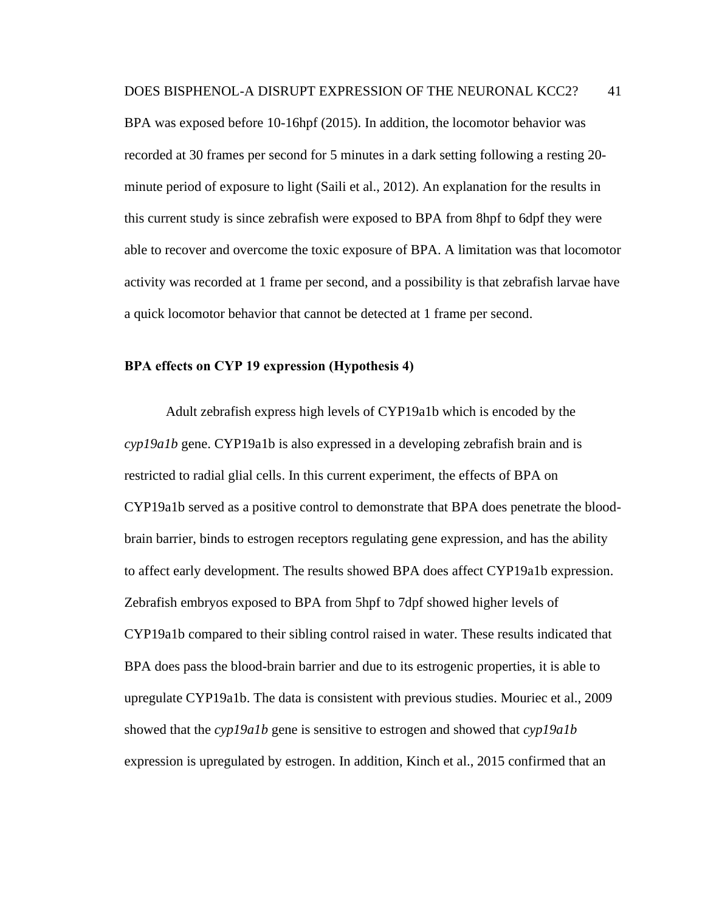BPA was exposed before 10-16hpf (2015). In addition, the locomotor behavior was recorded at 30 frames per second for 5 minutes in a dark setting following a resting 20 minute period of exposure to light (Saili et al., 2012). An explanation for the results in this current study is since zebrafish were exposed to BPA from 8hpf to 6dpf they were able to recover and overcome the toxic exposure of BPA. A limitation was that locomotor activity was recorded at 1 frame per second, and a possibility is that zebrafish larvae have a quick locomotor behavior that cannot be detected at 1 frame per second.

#### <span id="page-48-0"></span>**BPA effects on CYP 19 expression (Hypothesis 4)**

Adult zebrafish express high levels of CYP19a1b which is encoded by the *cyp19a1b* gene. CYP19a1b is also expressed in a developing zebrafish brain and is restricted to radial glial cells. In this current experiment, the effects of BPA on CYP19a1b served as a positive control to demonstrate that BPA does penetrate the bloodbrain barrier, binds to estrogen receptors regulating gene expression, and has the ability to affect early development. The results showed BPA does affect CYP19a1b expression. Zebrafish embryos exposed to BPA from 5hpf to 7dpf showed higher levels of CYP19a1b compared to their sibling control raised in water. These results indicated that BPA does pass the blood-brain barrier and due to its estrogenic properties, it is able to upregulate CYP19a1b. The data is consistent with previous studies. Mouriec et al., 2009 showed that the *cyp19a1b* gene is sensitive to estrogen and showed that *cyp19a1b* expression is upregulated by estrogen. In addition, Kinch et al., 2015 confirmed that an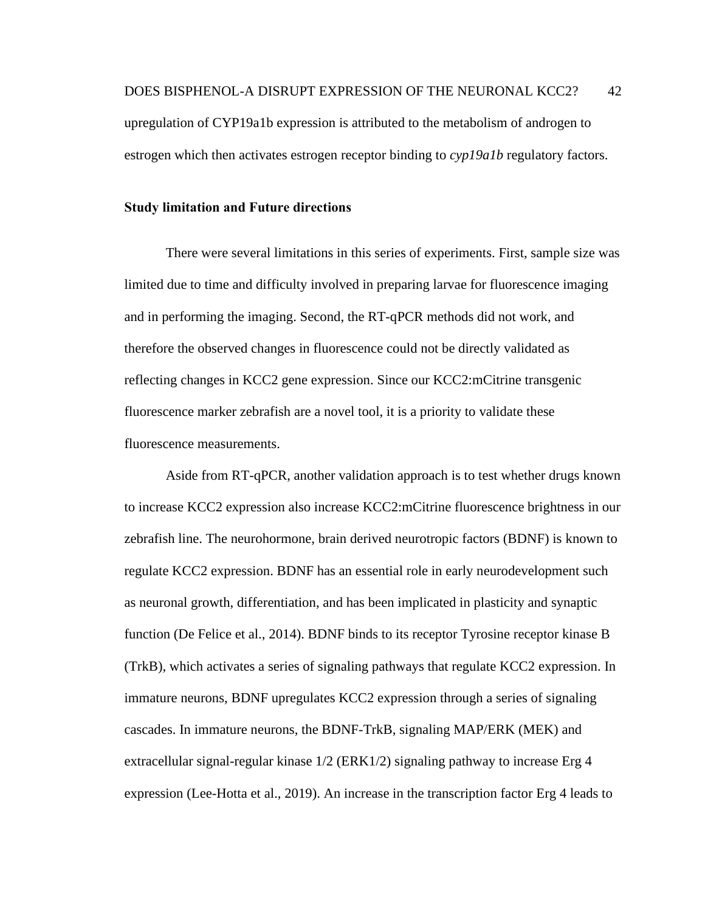upregulation of CYP19a1b expression is attributed to the metabolism of androgen to estrogen which then activates estrogen receptor binding to *cyp19a1b* regulatory factors.

#### <span id="page-49-0"></span>**Study limitation and Future directions**

There were several limitations in this series of experiments. First, sample size was limited due to time and difficulty involved in preparing larvae for fluorescence imaging and in performing the imaging. Second, the RT-qPCR methods did not work, and therefore the observed changes in fluorescence could not be directly validated as reflecting changes in KCC2 gene expression. Since our KCC2:mCitrine transgenic fluorescence marker zebrafish are a novel tool, it is a priority to validate these fluorescence measurements.

Aside from RT-qPCR, another validation approach is to test whether drugs known to increase KCC2 expression also increase KCC2:mCitrine fluorescence brightness in our zebrafish line. The neurohormone, brain derived neurotropic factors (BDNF) is known to regulate KCC2 expression. BDNF has an essential role in early neurodevelopment such as neuronal growth, differentiation, and has been implicated in plasticity and synaptic function (De Felice et al., 2014). BDNF binds to its receptor Tyrosine receptor kinase B (TrkB), which activates a series of signaling pathways that regulate KCC2 expression. In immature neurons, BDNF upregulates KCC2 expression through a series of signaling cascades. In immature neurons, the BDNF-TrkB, signaling MAP/ERK (MEK) and extracellular signal-regular kinase 1/2 (ERK1/2) signaling pathway to increase Erg 4 expression (Lee-Hotta et al., 2019). An increase in the transcription factor Erg 4 leads to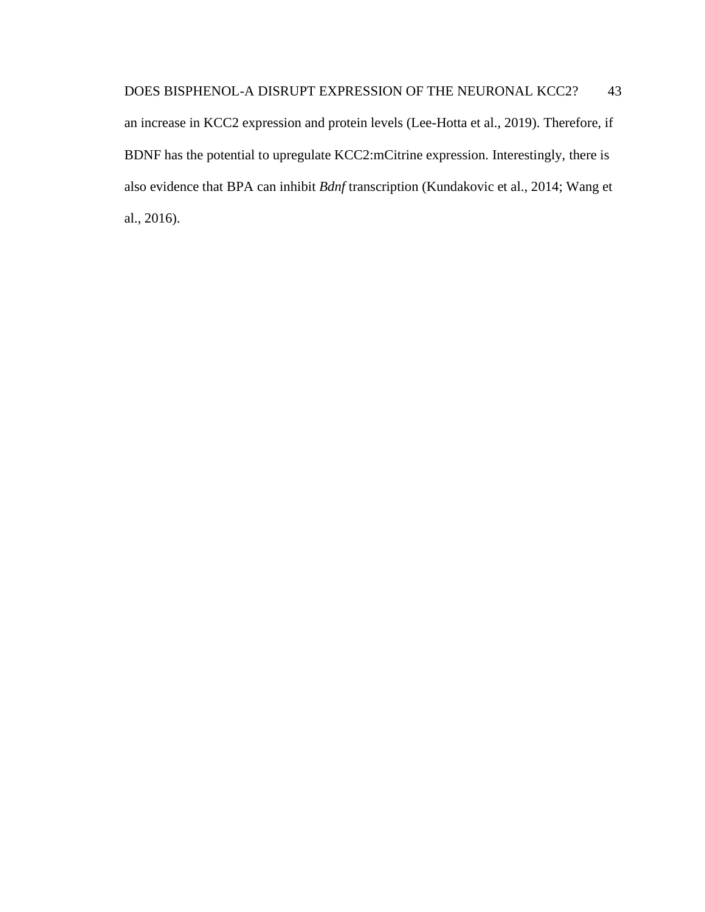an increase in KCC2 expression and protein levels (Lee-Hotta et al., 2019). Therefore, if BDNF has the potential to upregulate KCC2:mCitrine expression. Interestingly, there is also evidence that BPA can inhibit *Bdnf* transcription (Kundakovic et al., 2014; Wang et al., 2016).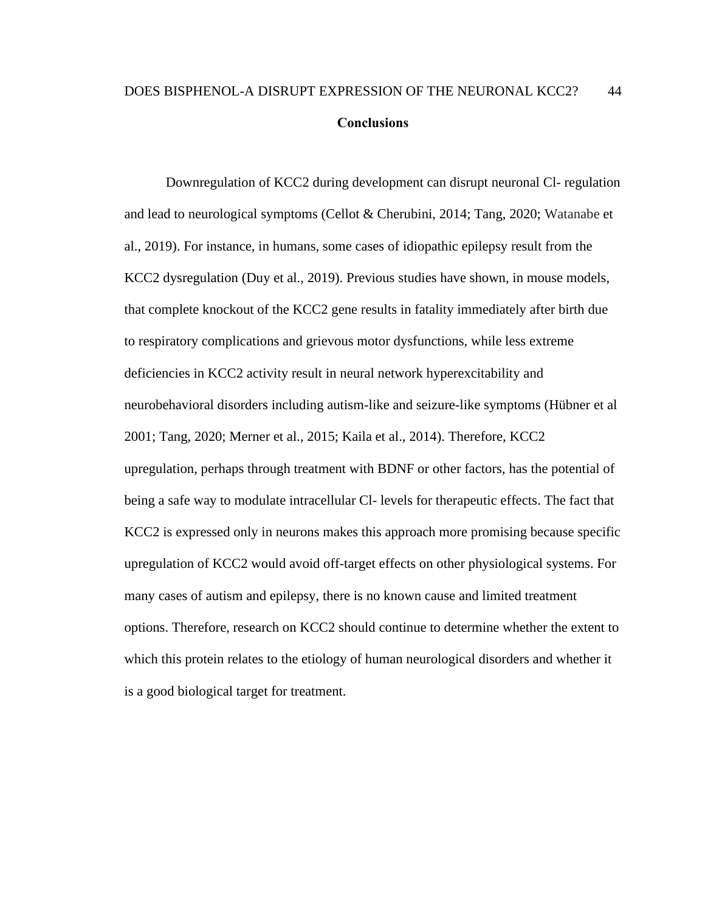## <span id="page-51-0"></span>DOES BISPHENOL-A DISRUPT EXPRESSION OF THE NEURONAL KCC2? 44 **Conclusions**

Downregulation of KCC2 during development can disrupt neuronal Cl- regulation and lead to neurological symptoms (Cellot & Cherubini, 2014; Tang, 2020; Watanabe et al., 2019). For instance, in humans, some cases of idiopathic epilepsy result from the KCC2 dysregulation (Duy et al., 2019). Previous studies have shown, in mouse models, that complete knockout of the KCC2 gene results in fatality immediately after birth due to respiratory complications and grievous motor dysfunctions, while less extreme deficiencies in KCC2 activity result in neural network hyperexcitability and neurobehavioral disorders including autism-like and seizure-like symptoms (Hübner et al 2001; Tang, 2020; Merner et al., 2015; Kaila et al., 2014). Therefore, KCC2 upregulation, perhaps through treatment with BDNF or other factors, has the potential of being a safe way to modulate intracellular Cl- levels for therapeutic effects. The fact that KCC2 is expressed only in neurons makes this approach more promising because specific upregulation of KCC2 would avoid off-target effects on other physiological systems. For many cases of autism and epilepsy, there is no known cause and limited treatment options. Therefore, research on KCC2 should continue to determine whether the extent to which this protein relates to the etiology of human neurological disorders and whether it is a good biological target for treatment.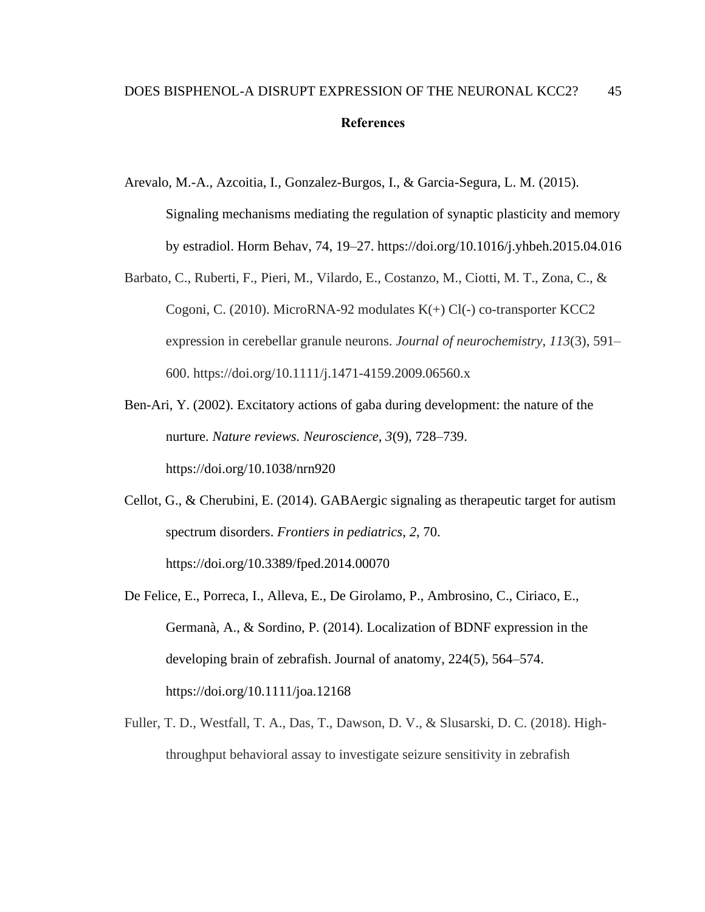## <span id="page-52-0"></span>DOES BISPHENOL-A DISRUPT EXPRESSION OF THE NEURONAL KCC2? 45 **References**

- Arevalo, M.-A., Azcoitia, I., Gonzalez-Burgos, I., & Garcia-Segura, L. M. (2015). Signaling mechanisms mediating the regulation of synaptic plasticity and memory by estradiol. Horm Behav, 74, 19–27. https://doi.org/10.1016/j.yhbeh.2015.04.016
- Barbato, C., Ruberti, F., Pieri, M., Vilardo, E., Costanzo, M., Ciotti, M. T., Zona, C., & Cogoni, C. (2010). MicroRNA-92 modulates K(+) Cl(-) co-transporter KCC2 expression in cerebellar granule neurons. *Journal of neurochemistry*, *113*(3), 591– 600. https://doi.org/10.1111/j.1471-4159.2009.06560.x
- Ben-Ari, Y. (2002). Excitatory actions of gaba during development: the nature of the nurture. *Nature reviews. Neuroscience*, *3*(9), 728–739. https://doi.org/10.1038/nrn920
- Cellot, G., & Cherubini, E. (2014). GABAergic signaling as therapeutic target for autism spectrum disorders. *Frontiers in pediatrics*, *2*, 70. https://doi.org/10.3389/fped.2014.00070
- De Felice, E., Porreca, I., Alleva, E., De Girolamo, P., Ambrosino, C., Ciriaco, E., Germanà, A., & Sordino, P. (2014). Localization of BDNF expression in the developing brain of zebrafish. Journal of anatomy, 224(5), 564–574. https://doi.org/10.1111/joa.12168
- Fuller, T. D., Westfall, T. A., Das, T., Dawson, D. V., & Slusarski, D. C. (2018). Highthroughput behavioral assay to investigate seizure sensitivity in zebrafish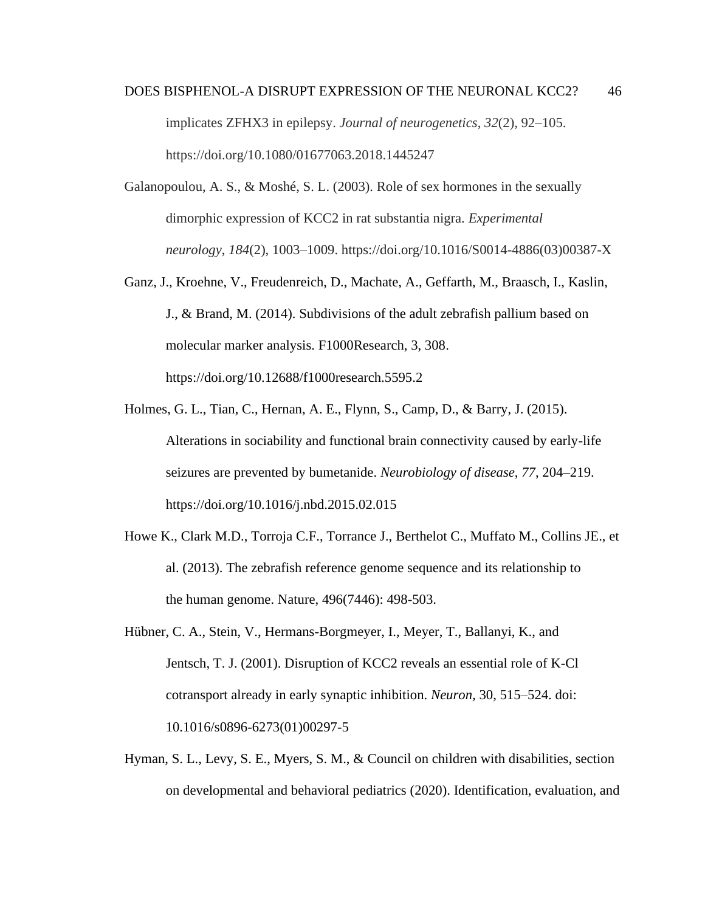- DOES BISPHENOL-A DISRUPT EXPRESSION OF THE NEURONAL KCC2? 46 implicates ZFHX3 in epilepsy. *Journal of neurogenetics*, *32*(2), 92–105. https://doi.org/10.1080/01677063.2018.1445247
- Galanopoulou, A. S., & Moshé, S. L. (2003). Role of sex hormones in the sexually dimorphic expression of KCC2 in rat substantia nigra. *Experimental neurology*, *184*(2), 1003–1009. https://doi.org/10.1016/S0014-4886(03)00387-X
- Ganz, J., Kroehne, V., Freudenreich, D., Machate, A., Geffarth, M., Braasch, I., Kaslin, J., & Brand, M. (2014). Subdivisions of the adult zebrafish pallium based on molecular marker analysis. F1000Research, 3, 308. https://doi.org/10.12688/f1000research.5595.2
- Holmes, G. L., Tian, C., Hernan, A. E., Flynn, S., Camp, D., & Barry, J. (2015). Alterations in sociability and functional brain connectivity caused by early-life seizures are prevented by bumetanide. *Neurobiology of disease*, *77*, 204–219. https://doi.org/10.1016/j.nbd.2015.02.015
- Howe K., Clark M.D., Torroja C.F., Torrance J., Berthelot C., Muffato M., Collins JE., et al. (2013). The zebrafish reference genome sequence and its relationship to the human genome. Nature, 496(7446): 498-503.
- Hübner, C. A., Stein, V., Hermans-Borgmeyer, I., Meyer, T., Ballanyi, K., and Jentsch, T. J. (2001). Disruption of KCC2 reveals an essential role of K-Cl cotransport already in early synaptic inhibition. *Neuron,* 30, 515–524. doi: 10.1016/s0896-6273(01)00297-5
- Hyman, S. L., Levy, S. E., Myers, S. M., & Council on children with disabilities, section on developmental and behavioral pediatrics (2020). Identification, evaluation, and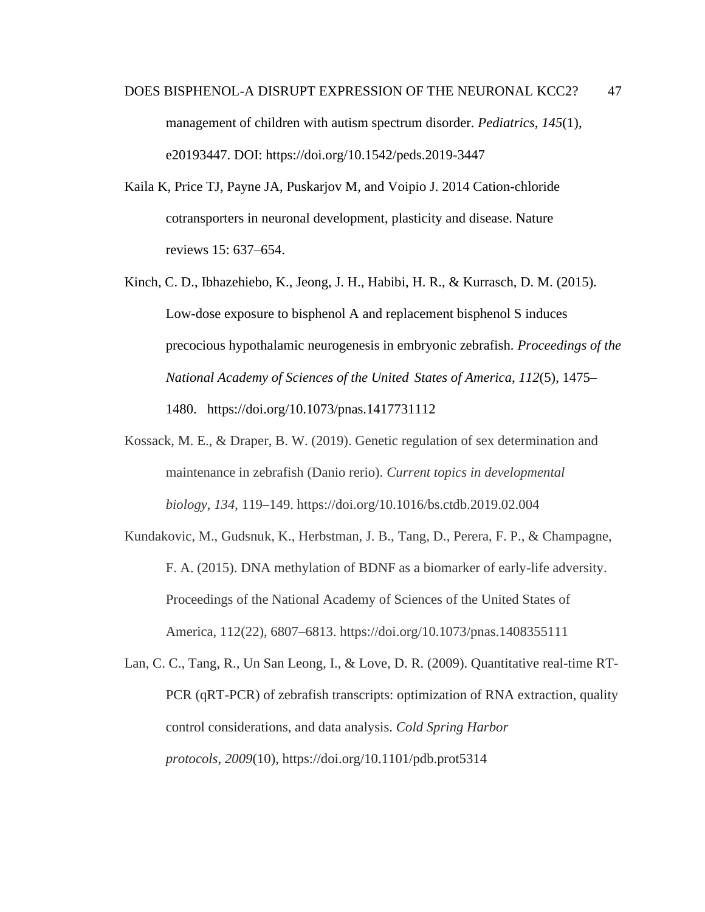- DOES BISPHENOL-A DISRUPT EXPRESSION OF THE NEURONAL KCC2? 47 management of children with autism spectrum disorder. *Pediatrics*, *145*(1), e20193447. DOI: https://doi.org/10.1542/peds.2019-3447
- Kaila K, Price TJ, Payne JA, Puskarjov M, and Voipio J. 2014 Cation-chloride cotransporters in neuronal development, plasticity and disease. Nature reviews 15: 637–654.
- Kinch, C. D., Ibhazehiebo, K., Jeong, J. H., Habibi, H. R., & Kurrasch, D. M. (2015). Low-dose exposure to bisphenol A and replacement bisphenol S induces precocious hypothalamic neurogenesis in embryonic zebrafish. *Proceedings of the National Academy of Sciences of the United States of America*, *112*(5), 1475– 1480. https://doi.org/10.1073/pnas.1417731112
- Kossack, M. E., & Draper, B. W. (2019). Genetic regulation of sex determination and maintenance in zebrafish (Danio rerio). *Current topics in developmental biology*, *134*, 119–149. https://doi.org/10.1016/bs.ctdb.2019.02.004
- Kundakovic, M., Gudsnuk, K., Herbstman, J. B., Tang, D., Perera, F. P., & Champagne, F. A. (2015). DNA methylation of BDNF as a biomarker of early-life adversity. Proceedings of the National Academy of Sciences of the United States of America, 112(22), 6807–6813. https://doi.org/10.1073/pnas.1408355111
- Lan, C. C., Tang, R., Un San Leong, I., & Love, D. R. (2009). Quantitative real-time RT-PCR (qRT-PCR) of zebrafish transcripts: optimization of RNA extraction, quality control considerations, and data analysis. *Cold Spring Harbor protocols*, *2009*(10), https://doi.org/10.1101/pdb.prot5314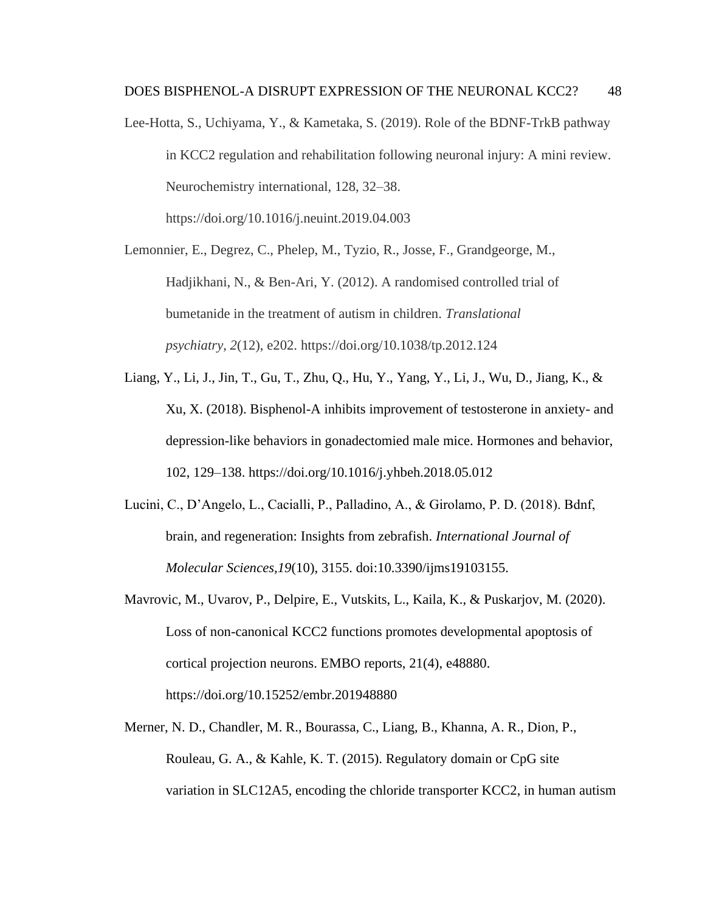Lee-Hotta, S., Uchiyama, Y., & Kametaka, S. (2019). Role of the BDNF-TrkB pathway in KCC2 regulation and rehabilitation following neuronal injury: A mini review. Neurochemistry international, 128, 32–38. https://doi.org/10.1016/j.neuint.2019.04.003

Lemonnier, E., Degrez, C., Phelep, M., Tyzio, R., Josse, F., Grandgeorge, M., Hadjikhani, N., & Ben-Ari, Y. (2012). A randomised controlled trial of bumetanide in the treatment of autism in children. *Translational psychiatry*, *2*(12), e202. https://doi.org/10.1038/tp.2012.124

- Liang, Y., Li, J., Jin, T., Gu, T., Zhu, Q., Hu, Y., Yang, Y., Li, J., Wu, D., Jiang, K., & Xu, X. (2018). Bisphenol-A inhibits improvement of testosterone in anxiety- and depression-like behaviors in gonadectomied male mice. Hormones and behavior, 102, 129–138. https://doi.org/10.1016/j.yhbeh.2018.05.012
- Lucini, C., D'Angelo, L., Cacialli, P., Palladino, A., & Girolamo, P. D. (2018). Bdnf, brain, and regeneration: Insights from zebrafish. *International Journal of Molecular Sciences,19*(10), 3155. doi:10.3390/ijms19103155.
- Mavrovic, M., Uvarov, P., Delpire, E., Vutskits, L., Kaila, K., & Puskarjov, M. (2020). Loss of non-canonical KCC2 functions promotes developmental apoptosis of cortical projection neurons. EMBO reports, 21(4), e48880. https://doi.org/10.15252/embr.201948880
- Merner, N. D., Chandler, M. R., Bourassa, C., Liang, B., Khanna, A. R., Dion, P., Rouleau, G. A., & Kahle, K. T. (2015). Regulatory domain or CpG site variation in SLC12A5, encoding the chloride transporter KCC2, in human autism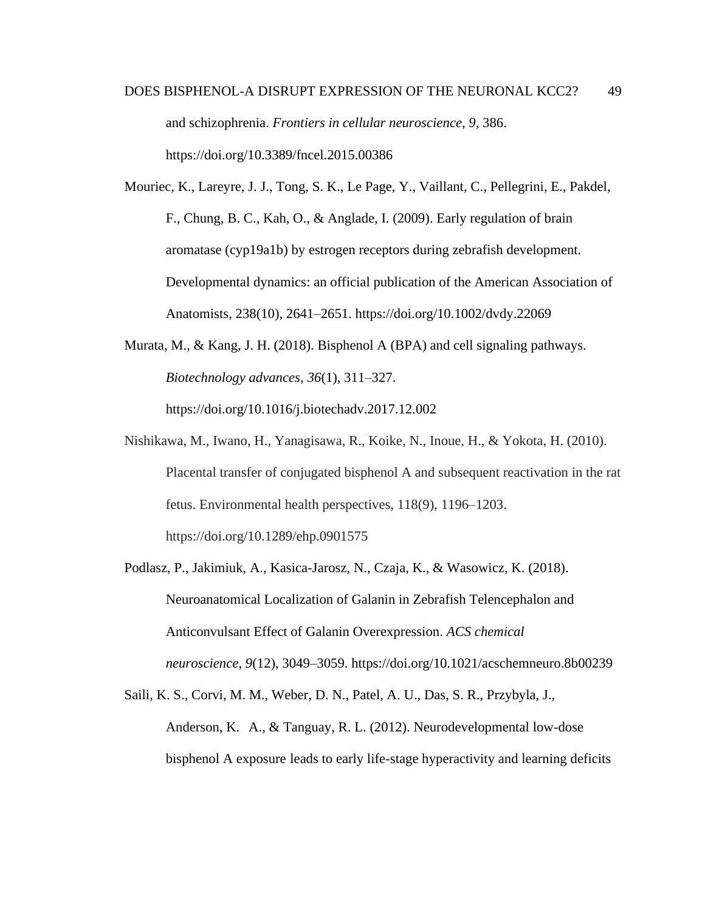- DOES BISPHENOL-A DISRUPT EXPRESSION OF THE NEURONAL KCC2? 49 and schizophrenia. *Frontiers in cellular neuroscience*, *9*, 386. https://doi.org/10.3389/fncel.2015.00386
- Mouriec, K., Lareyre, J. J., Tong, S. K., Le Page, Y., Vaillant, C., Pellegrini, E., Pakdel, F., Chung, B. C., Kah, O., & Anglade, I. (2009). Early regulation of brain aromatase (cyp19a1b) by estrogen receptors during zebrafish development. Developmental dynamics: an official publication of the American Association of Anatomists, 238(10), 2641–2651. https://doi.org/10.1002/dvdy.22069
- Murata, M., & Kang, J. H. (2018). Bisphenol A (BPA) and cell signaling pathways. *Biotechnology advances*, *36*(1), 311–327. https://doi.org/10.1016/j.biotechadv.2017.12.002
- Nishikawa, M., Iwano, H., Yanagisawa, R., Koike, N., Inoue, H., & Yokota, H. (2010). Placental transfer of conjugated bisphenol A and subsequent reactivation in the rat fetus. Environmental health perspectives, 118(9), 1196–1203. https://doi.org/10.1289/ehp.0901575
- Podlasz, P., Jakimiuk, A., Kasica-Jarosz, N., Czaja, K., & Wasowicz, K. (2018). Neuroanatomical Localization of Galanin in Zebrafish Telencephalon and Anticonvulsant Effect of Galanin Overexpression. *ACS chemical neuroscience*, *9*(12), 3049–3059. https://doi.org/10.1021/acschemneuro.8b00239
- Saili, K. S., Corvi, M. M., Weber, D. N., Patel, A. U., Das, S. R., Przybyla, J., Anderson, K. A., & Tanguay, R. L. (2012). Neurodevelopmental low-dose bisphenol A exposure leads to early life-stage hyperactivity and learning deficits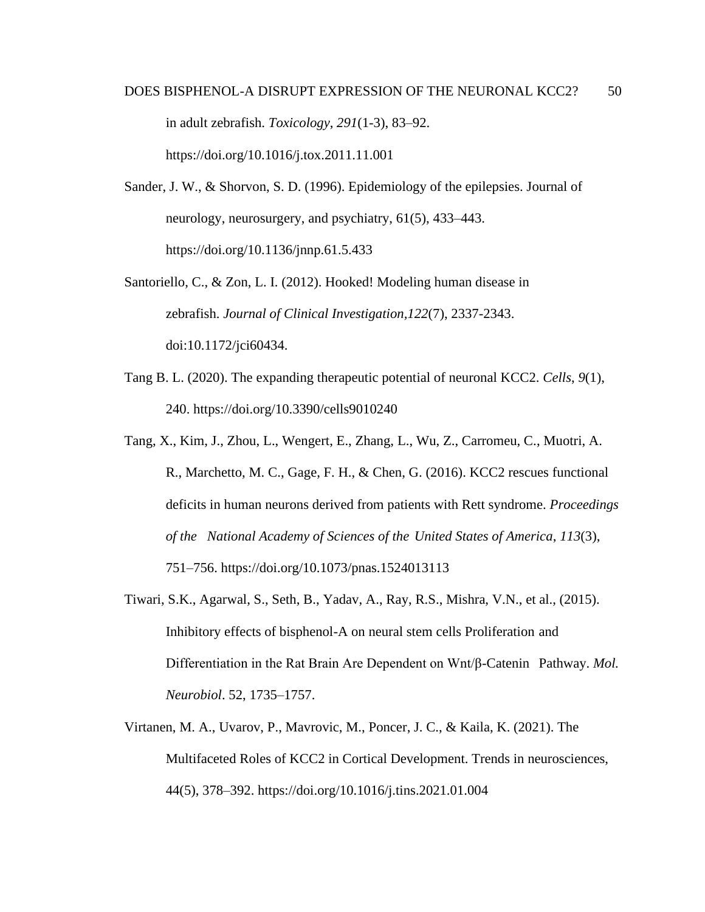# DOES BISPHENOL-A DISRUPT EXPRESSION OF THE NEURONAL KCC2? 50 in adult zebrafish. *Toxicology*, *291*(1-3), 83–92. https://doi.org/10.1016/j.tox.2011.11.001

Sander, J. W., & Shorvon, S. D. (1996). Epidemiology of the epilepsies. Journal of neurology, neurosurgery, and psychiatry, 61(5), 433–443. https://doi.org/10.1136/jnnp.61.5.433

Santoriello, C., & Zon, L. I. (2012). Hooked! Modeling human disease in zebrafish. *Journal of Clinical Investigation,122*(7), 2337-2343. doi:10.1172/jci60434.

- Tang B. L. (2020). The expanding therapeutic potential of neuronal KCC2. *Cells*, *9*(1), 240. https://doi.org/10.3390/cells9010240
- Tang, X., Kim, J., Zhou, L., Wengert, E., Zhang, L., Wu, Z., Carromeu, C., Muotri, A. R., Marchetto, M. C., Gage, F. H., & Chen, G. (2016). KCC2 rescues functional deficits in human neurons derived from patients with Rett syndrome. *Proceedings of the National Academy of Sciences of the United States of America*, *113*(3), 751–756. https://doi.org/10.1073/pnas.1524013113
- Tiwari, S.K., Agarwal, S., Seth, B., Yadav, A., Ray, R.S., Mishra, V.N., et al., (2015). Inhibitory effects of bisphenol-A on neural stem cells Proliferation and Differentiation in the Rat Brain Are Dependent on Wnt/β-Catenin Pathway. *Mol. Neurobiol*. 52, 1735–1757.
- Virtanen, M. A., Uvarov, P., Mavrovic, M., Poncer, J. C., & Kaila, K. (2021). The Multifaceted Roles of KCC2 in Cortical Development. Trends in neurosciences, 44(5), 378–392. https://doi.org/10.1016/j.tins.2021.01.004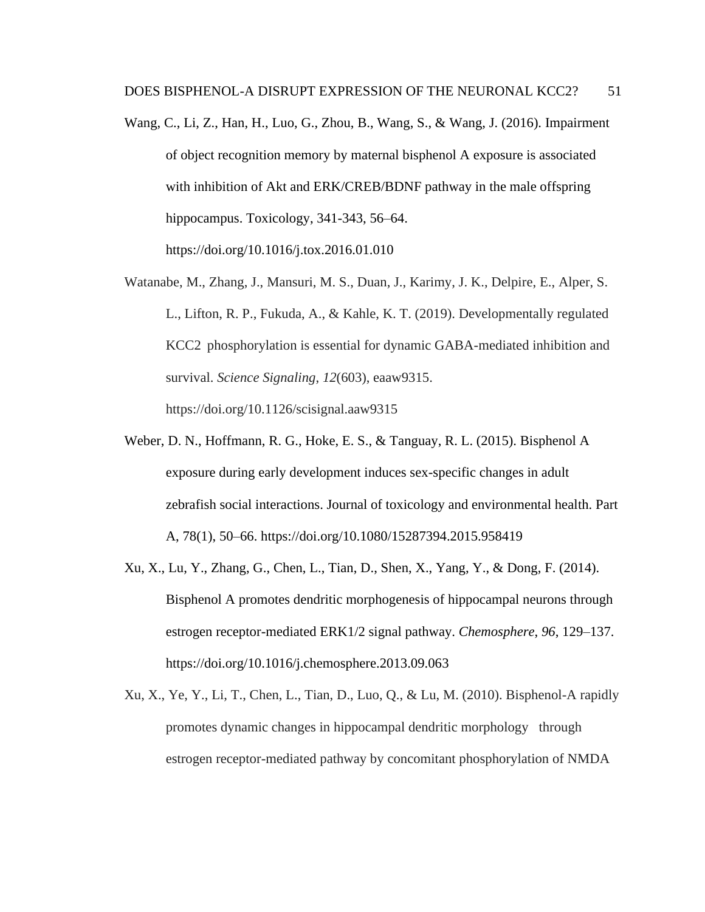- Wang, C., Li, Z., Han, H., Luo, G., Zhou, B., Wang, S., & Wang, J. (2016). Impairment of object recognition memory by maternal bisphenol A exposure is associated with inhibition of Akt and ERK/CREB/BDNF pathway in the male offspring hippocampus. Toxicology, 341-343, 56–64. https://doi.org/10.1016/j.tox.2016.01.010
- Watanabe, M., Zhang, J., Mansuri, M. S., Duan, J., Karimy, J. K., Delpire, E., Alper, S. L., Lifton, R. P., Fukuda, A., & Kahle, K. T. (2019). Developmentally regulated KCC2 phosphorylation is essential for dynamic GABA-mediated inhibition and survival. *Science Signaling*, *12*(603), eaaw9315. https://doi.org/10.1126/scisignal.aaw9315
- Weber, D. N., Hoffmann, R. G., Hoke, E. S., & Tanguay, R. L. (2015). Bisphenol A exposure during early development induces sex-specific changes in adult zebrafish social interactions. Journal of toxicology and environmental health. Part A, 78(1), 50–66. https://doi.org/10.1080/15287394.2015.958419
- Xu, X., Lu, Y., Zhang, G., Chen, L., Tian, D., Shen, X., Yang, Y., & Dong, F. (2014). Bisphenol A promotes dendritic morphogenesis of hippocampal neurons through estrogen receptor-mediated ERK1/2 signal pathway. *Chemosphere*, *96*, 129–137. https://doi.org/10.1016/j.chemosphere.2013.09.063
- Xu, X., Ye, Y., Li, T., Chen, L., Tian, D., Luo, Q., & Lu, M. (2010). Bisphenol-A rapidly promotes dynamic changes in hippocampal dendritic morphology through estrogen receptor-mediated pathway by concomitant phosphorylation of NMDA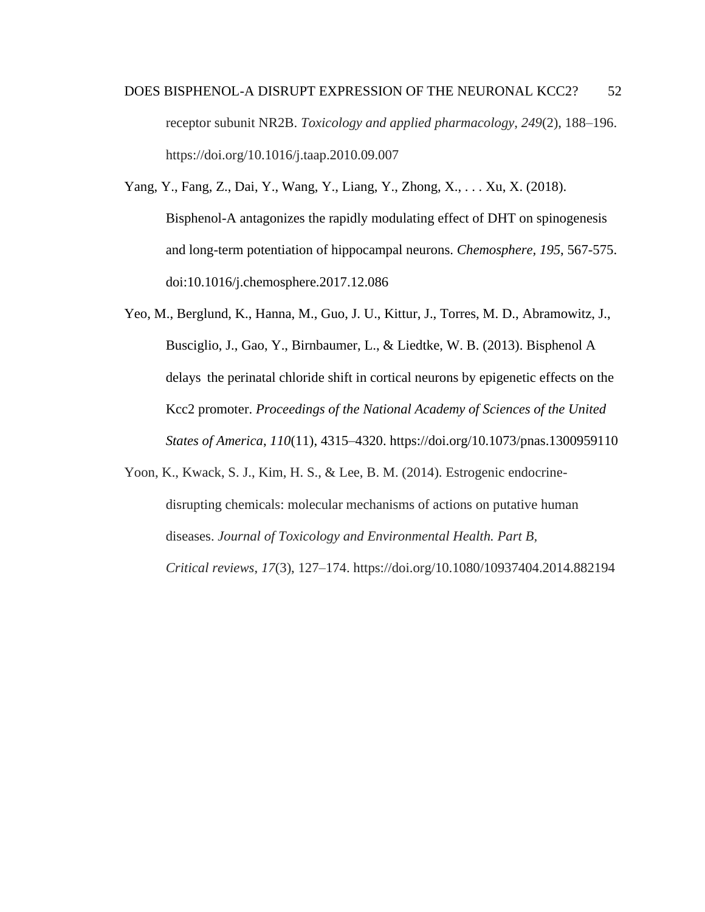- DOES BISPHENOL-A DISRUPT EXPRESSION OF THE NEURONAL KCC2? 52 receptor subunit NR2B. *Toxicology and applied pharmacology*, *249*(2), 188–196. https://doi.org/10.1016/j.taap.2010.09.007
- Yang, Y., Fang, Z., Dai, Y., Wang, Y., Liang, Y., Zhong, X., . . . Xu, X. (2018). Bisphenol-A antagonizes the rapidly modulating effect of DHT on spinogenesis and long-term potentiation of hippocampal neurons. *Chemosphere, 195*, 567-575. doi:10.1016/j.chemosphere.2017.12.086
- Yeo, M., Berglund, K., Hanna, M., Guo, J. U., Kittur, J., Torres, M. D., Abramowitz, J., Busciglio, J., Gao, Y., Birnbaumer, L., & Liedtke, W. B. (2013). Bisphenol A delays the perinatal chloride shift in cortical neurons by epigenetic effects on the Kcc2 promoter. *Proceedings of the National Academy of Sciences of the United States of America*, *110*(11), 4315–4320. https://doi.org/10.1073/pnas.1300959110
- Yoon, K., Kwack, S. J., Kim, H. S., & Lee, B. M. (2014). Estrogenic endocrinedisrupting chemicals: molecular mechanisms of actions on putative human diseases. *Journal of Toxicology and Environmental Health. Part B, Critical reviews*, *17*(3), 127–174. https://doi.org/10.1080/10937404.2014.882194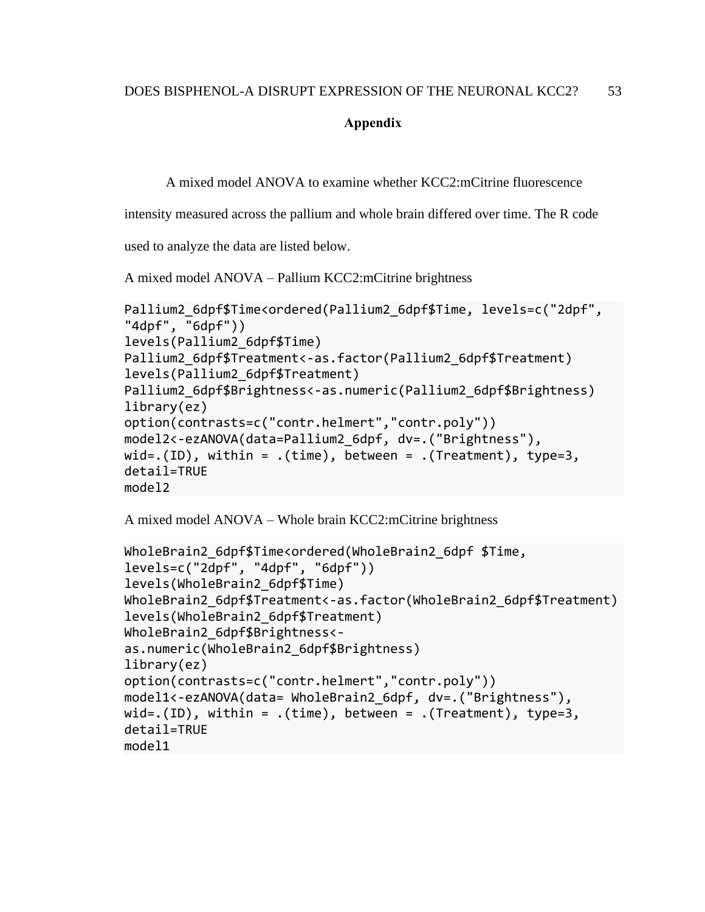#### **Appendix**

<span id="page-60-0"></span>A mixed model ANOVA to examine whether KCC2:mCitrine fluorescence

intensity measured across the pallium and whole brain differed over time. The R code

used to analyze the data are listed below.

A mixed model ANOVA – Pallium KCC2:mCitrine brightness

```
Pallium2_6dpf$Time<ordered(Pallium2_6dpf$Time, levels=c("2dpf",
"4dpf", "6dpf"))
levels(Pallium2_6dpf$Time)
Pallium2 6dpf$Treatment<-as.factor(Pallium2 6dpf$Treatment)
levels(Pallium2_6dpf$Treatment)
Pallium2 6dpf$Brightness<-as.numeric(Pallium2 6dpf$Brightness)
library(ez)
option(contrasts=c("contr.helmert","contr.poly"))
model2<-ezANOVA(data=Pallium2_6dpf, dv=.("Brightness"), 
wid=.(ID), within = .(time), between = .(Treatment), type=3,
detail=TRUE
model2
```
A mixed model ANOVA – Whole brain KCC2:mCitrine brightness

```
WholeBrain2 6dpf$Time<ordered(WholeBrain2 6dpf $Time,
levels=c("2dpf", "4dpf", "6dpf"))
levels(WholeBrain2_6dpf$Time)
WholeBrain2 6dpf$Treatment<-as.factor(WholeBrain2 6dpf$Treatment)
levels(WholeBrain2_6dpf$Treatment)
WholeBrain2_6dpf$Brightness<-
as.numeric(WholeBrain2_6dpf$Brightness)
library(ez)
option(contrasts=c("contr.helmert","contr.poly"))
model1<-ezANOVA(data= WholeBrain2_6dpf, dv=.("Brightness"), 
wid=.(ID), within = .(time), between = .(Treatment), type=3,
detail=TRUE
model1
```